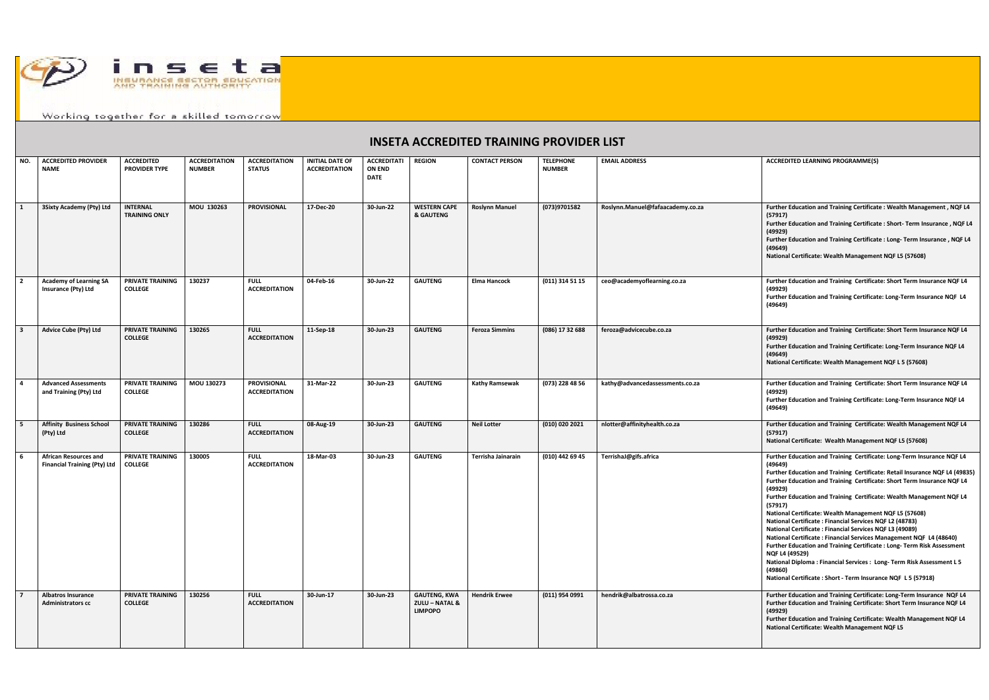

Working together for a skilled tomorrow

## **INSETA ACCREDITED TRAINING PROVIDER LIST**

| NO.          | <b>ACCREDITED PROVIDER</b><br><b>NAME</b>                           | <b>ACCREDITED</b><br><b>PROVIDER TYPE</b> | <b>ACCREDITATION</b><br><b>NUMBER</b> | <b>ACCREDITATION</b><br><b>STATUS</b>      | <b>INITIAL DATE OF</b><br><b>ACCREDITATION</b> | <b>ACCREDITATI</b><br><b>ON END</b><br><b>DATE</b> | <b>REGION</b>                                                      | <b>CONTACT PERSON</b> | <b>TELEPHONE</b><br><b>NUMBER</b> | <b>EMAIL ADDRESS</b>             | <b>ACCREDITED LEARNING PROGRAMME(S)</b>                                                                                                                                                                                                                                                                                                                                                                                                                                                                                                                                                                                                                                                                                                                                                                                                                |
|--------------|---------------------------------------------------------------------|-------------------------------------------|---------------------------------------|--------------------------------------------|------------------------------------------------|----------------------------------------------------|--------------------------------------------------------------------|-----------------------|-----------------------------------|----------------------------------|--------------------------------------------------------------------------------------------------------------------------------------------------------------------------------------------------------------------------------------------------------------------------------------------------------------------------------------------------------------------------------------------------------------------------------------------------------------------------------------------------------------------------------------------------------------------------------------------------------------------------------------------------------------------------------------------------------------------------------------------------------------------------------------------------------------------------------------------------------|
| $\mathbf{1}$ | 3Sixty Academy (Pty) Ltd                                            | <b>INTERNAL</b><br><b>TRAINING ONLY</b>   | MOU 130263                            | <b>PROVISIONAL</b>                         | 17-Dec-20                                      | 30-Jun-22                                          | <b>WESTERN CAPE</b><br>& GAUTENG                                   | <b>Roslynn Manuel</b> | (073)9701582                      | Roslynn.Manuel@fafaacademy.co.za | Further Education and Training Certificate : Wealth Management, NQF L4<br>(57917)<br>Further Education and Training Certificate : Short- Term Insurance, NQF L4<br>(49929)<br>Further Education and Training Certificate : Long- Term Insurance, NQF L4<br>(49649)<br>National Certificate: Wealth Management NQF L5 (57608)                                                                                                                                                                                                                                                                                                                                                                                                                                                                                                                           |
|              | <b>Academy of Learning SA</b><br>Insurance (Pty) Ltd                | <b>PRIVATE TRAINING</b><br><b>COLLEGE</b> | 130237                                | <b>FULL</b><br><b>ACCREDITATION</b>        | 04-Feb-16                                      | 30-Jun-22                                          | <b>GAUTENG</b>                                                     | <b>Elma Hancock</b>   | (011) 314 51 15                   | ceo@academyoflearning.co.za      | Further Education and Training Certificate: Short Term Insurance NQF L4<br>(49929)<br>Further Education and Training Certificate: Long-Term Insurance NQF L4<br>(49649)                                                                                                                                                                                                                                                                                                                                                                                                                                                                                                                                                                                                                                                                                |
|              | <b>Advice Cube (Pty) Ltd</b>                                        | <b>PRIVATE TRAINING</b><br><b>COLLEGE</b> | 130265                                | <b>FULL</b><br><b>ACCREDITATION</b>        | 11-Sep-18                                      | 30-Jun-23                                          | <b>GAUTENG</b>                                                     | <b>Feroza Simmins</b> | (086) 17 32 688                   | feroza@advicecube.co.za          | Further Education and Training Certificate: Short Term Insurance NQF L4<br>(49929)<br>Further Education and Training Certificate: Long-Term Insurance NQF L4<br>(49649)<br>National Certificate: Wealth Management NQF L 5 (57608)                                                                                                                                                                                                                                                                                                                                                                                                                                                                                                                                                                                                                     |
|              | <b>Advanced Assessments</b><br>and Training (Pty) Ltd               | PRIVATE TRAINING<br><b>COLLEGE</b>        | MOU 130273                            | <b>PROVISIONAL</b><br><b>ACCREDITATION</b> | 31-Mar-22                                      | 30-Jun-23                                          | <b>GAUTENG</b>                                                     | <b>Kathy Ramsewak</b> | (073) 228 48 56                   | kathy@advancedassessments.co.za  | Further Education and Training Certificate: Short Term Insurance NQF L4<br>(49929)<br>Further Education and Training Certificate: Long-Term Insurance NQF L4<br>(49649)                                                                                                                                                                                                                                                                                                                                                                                                                                                                                                                                                                                                                                                                                |
|              | <b>Affinity Business School</b><br>(Pty) Ltd                        | <b>PRIVATE TRAINING</b><br><b>COLLEGE</b> | 130286                                | <b>FULL</b><br><b>ACCREDITATION</b>        | 08-Aug-19                                      | 30-Jun-23                                          | <b>GAUTENG</b>                                                     | <b>Neil Lotter</b>    | (010) 020 2021                    | nlotter@affinityhealth.co.za     | Further Education and Training Certificate: Wealth Management NQF L4<br>(57917)<br>National Certificate: Wealth Management NQF L5 (57608)                                                                                                                                                                                                                                                                                                                                                                                                                                                                                                                                                                                                                                                                                                              |
| 6            | <b>African Resources and</b><br><b>Financial Training (Pty) Ltd</b> | PRIVATE TRAINING<br><b>COLLEGE</b>        | 130005                                | <b>FULL</b><br><b>ACCREDITATION</b>        | 18-Mar-03                                      | 30-Jun-23                                          | <b>GAUTENG</b>                                                     | Terrisha Jainarain    | (010) 442 69 45                   | TerrishaJ@gifs.africa            | Further Education and Training Certificate: Long-Term Insurance NQF L4<br>(49649)<br>Further Education and Training Certificate: Retail Insurance NQF L4 (49835)<br>Further Education and Training Certificate: Short Term Insurance NQF L4<br>(49929)<br>Further Education and Training Certificate: Wealth Management NQF L4<br>(57917)<br>National Certificate: Wealth Management NQF L5 (57608)<br>National Certificate: Financial Services NQF L2 (48783)<br>National Certificate: Financial Services NQF L3 (49089)<br>National Certificate: Financial Services Management NQF L4 (48640)<br>Further Education and Training Certificate : Long- Term Risk Assessment<br><b>NQF L4 (49529)</b><br>National Diploma: Financial Services: Long-Term Risk Assessment L 5<br>(49860)<br>National Certificate : Short - Term Insurance NQF L 5 (57918) |
|              | <b>Albatros Insurance</b><br><b>Administrators cc</b>               | PRIVATE TRAINING<br><b>COLLEGE</b>        | 130256                                | <b>FULL</b><br><b>ACCREDITATION</b>        | 30-Jun-17                                      | 30-Jun-23                                          | <b>GAUTENG, KWA</b><br><b>ZULU - NATAL &amp;</b><br><b>LIMPOPO</b> | <b>Hendrik Erwee</b>  | (011) 954 0991                    | hendrik@albatrossa.co.za         | Further Education and Training Certificate: Long-Term Insurance NQF L4<br>Further Education and Training Certificate: Short Term Insurance NQF L4<br>(49929)<br>Further Education and Training Certificate: Wealth Management NQF L4<br>National Certificate: Wealth Management NQF L5                                                                                                                                                                                                                                                                                                                                                                                                                                                                                                                                                                 |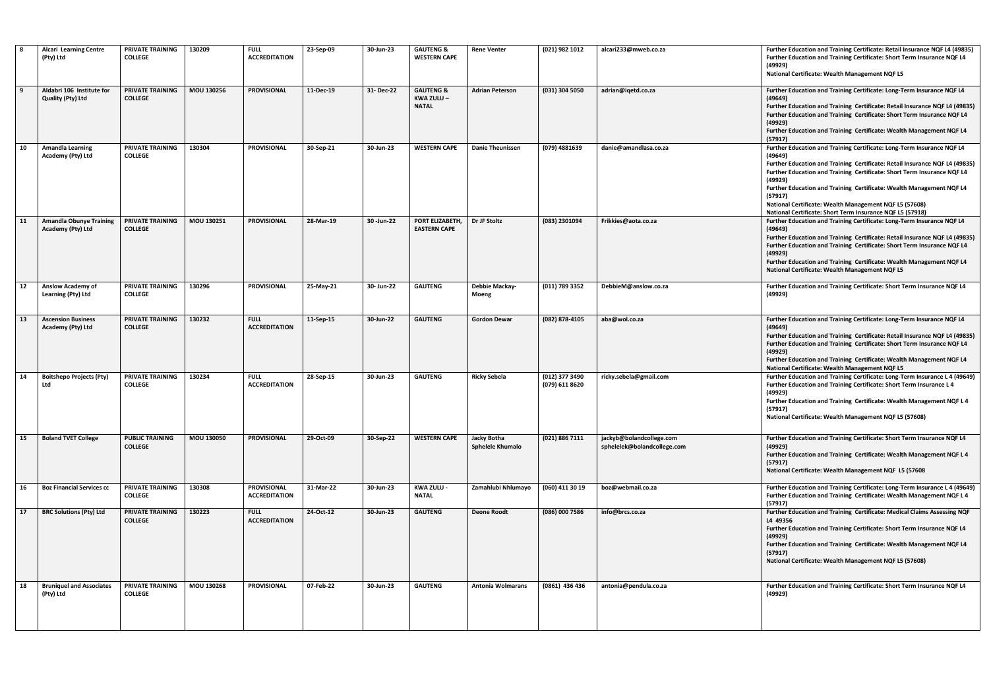|    | <b>Alcari Learning Centre</b><br>(Pty) Ltd            | PRIVATE TRAINING<br><b>COLLEGE</b>       | 130209     | <b>FULL</b><br><b>ACCREDITATION</b>        | 23-Sep-09 | 30-Jun-23     | <b>GAUTENG &amp;</b><br><b>WESTERN CAPE</b>       | <b>Rene Venter</b>              | (021) 982 1012                   | alcari233@mweb.co.za                                    | Further Education and Training Certificate: Retail Insurance NQF L4 (49835)<br>Further Education and Training Certificate: Short Term Insurance NQF L4<br>(49929)<br>National Certificate: Wealth Management NQF L5                                                                                                                                                                                                                                              |
|----|-------------------------------------------------------|------------------------------------------|------------|--------------------------------------------|-----------|---------------|---------------------------------------------------|---------------------------------|----------------------------------|---------------------------------------------------------|------------------------------------------------------------------------------------------------------------------------------------------------------------------------------------------------------------------------------------------------------------------------------------------------------------------------------------------------------------------------------------------------------------------------------------------------------------------|
| 9  | Aldabri 106 Institute for<br><b>Quality (Pty) Ltd</b> | PRIVATE TRAINING<br><b>COLLEGE</b>       | MOU 130256 | <b>PROVISIONAL</b>                         | 11-Dec-19 | 31- Dec-22    | <b>GAUTENG &amp;</b><br>KWA ZULU-<br><b>NATAL</b> | <b>Adrian Peterson</b>          | (031) 304 5050                   | adrian@iqetd.co.za                                      | Further Education and Training Certificate: Long-Term Insurance NQF L4<br>(49649)<br>Further Education and Training Certificate: Retail Insurance NQF L4 (49835)<br>Further Education and Training Certificate: Short Term Insurance NQF L4<br>(49929)<br>Further Education and Training Certificate: Wealth Management NQF L4<br>(57917)                                                                                                                        |
| 10 | <b>Amandla Learning</b><br>Academy (Pty) Ltd          | PRIVATE TRAINING<br><b>COLLEGE</b>       | 130304     | <b>PROVISIONAL</b>                         | 30-Sep-21 | 30-Jun-23     | <b>WESTERN CAPE</b>                               | <b>Danie Theunissen</b>         | (079) 4881639                    | danie@amandlasa.co.za                                   | Further Education and Training Certificate: Long-Term Insurance NQF L4<br>(49649)<br>Further Education and Training Certificate: Retail Insurance NQF L4 (49835)<br>Further Education and Training Certificate: Short Term Insurance NQF L4<br>(49929)<br>Further Education and Training Certificate: Wealth Management NQF L4<br>(57917)<br>National Certificate: Wealth Management NQF L5 (57608)<br>National Certificate: Short Term Insurance NQF L5 (57918) |
| 11 | <b>Amandla Obunye Training</b><br>Academy (Pty) Ltd   | PRIVATE TRAINING<br><b>COLLEGE</b>       | MOU 130251 | <b>PROVISIONAL</b>                         | 28-Mar-19 | 30 - Jun - 22 | PORT ELIZABETH,<br><b>EASTERN CAPE</b>            | Dr JF Stoltz                    | (083) 2301094                    | Frikkies@aota.co.za                                     | Further Education and Training Certificate: Long-Term Insurance NQF L4<br>(49649)<br>Further Education and Training Certificate: Retail Insurance NQF L4 (49835)<br>Further Education and Training Certificate: Short Term Insurance NQF L4<br>(49929)<br>Further Education and Training Certificate: Wealth Management NQF L4<br>National Certificate: Wealth Management NQF L5                                                                                 |
| 12 | <b>Anslow Academy of</b><br>Learning (Pty) Ltd        | PRIVATE TRAINING<br><b>COLLEGE</b>       | 130296     | <b>PROVISIONAL</b>                         | 25-May-21 | 30- Jun-22    | <b>GAUTENG</b>                                    | Debbie Mackay-<br>Moeng         | $(011)$ 789 3352                 | DebbieM@anslow.co.za                                    | Further Education and Training Certificate: Short Term Insurance NQF L4<br>(49929)                                                                                                                                                                                                                                                                                                                                                                               |
| 13 | <b>Ascension Business</b><br>Academy (Pty) Ltd        | PRIVATE TRAINING<br><b>COLLEGE</b>       | 130232     | <b>FULL</b><br><b>ACCREDITATION</b>        | 11-Sep-15 | 30-Jun-22     | <b>GAUTENG</b>                                    | <b>Gordon Dewar</b>             | (082) 878-4105                   | aba@wol.co.za                                           | Further Education and Training Certificate: Long-Term Insurance NQF L4<br>(49649)<br>Further Education and Training Certificate: Retail Insurance NQF L4 (49835)<br>Further Education and Training Certificate: Short Term Insurance NQF L4<br>(49929)<br>Further Education and Training Certificate: Wealth Management NQF L4<br>National Certificate: Wealth Management NQF L5                                                                                 |
| 14 | <b>Boitshepo Projects (Pty)</b><br>Ltd                | PRIVATE TRAINING<br><b>COLLEGE</b>       | 130234     | <b>FULL</b><br><b>ACCREDITATION</b>        | 28-Sep-15 | 30-Jun-23     | <b>GAUTENG</b>                                    | <b>Ricky Sebela</b>             | (012) 377 3490<br>(079) 611 8620 | ricky.sebela@gmail.com                                  | Further Education and Training Certificate: Long-Term Insurance L 4 (49649)<br>Further Education and Training Certificate: Short Term Insurance L 4<br>(49929)<br>Further Education and Training Certificate: Wealth Management NQF L 4<br>(57917)<br>National Certificate: Wealth Management NQF L5 (57608)                                                                                                                                                     |
| 15 | <b>Boland TVET College</b>                            | <b>PUBLIC TRAINING</b><br><b>COLLEGE</b> | MOU 130050 | <b>PROVISIONAL</b>                         | 29-Oct-09 | 30-Sep-22     | <b>WESTERN CAPE</b>                               | Jacky Botha<br>Sphelele Khumalo | (021) 886 7111                   | jackyb@bolandcollege.com<br>sphelelek@bolandcollege.com | Further Education and Training Certificate: Short Term Insurance NQF L4<br>(49929)<br>Further Education and Training Certificate: Wealth Management NQF L 4<br>(57917)<br>National Certificate: Wealth Management NQF L5 (57608                                                                                                                                                                                                                                  |
| 16 | <b>Boz Financial Services cc</b>                      | PRIVATE TRAINING<br><b>COLLEGE</b>       | 130308     | <b>PROVISIONAL</b><br><b>ACCREDITATION</b> | 31-Mar-22 | 30-Jun-23     | KWA ZULU -<br><b>NATAL</b>                        | Zamahlubi Nhlumayo              | (060) 411 30 19                  | boz@webmail.co.za                                       | Further Education and Training Certificate: Long-Term Insurance L 4 (49649)<br>Further Education and Training Certificate: Wealth Management NQF L 4<br>(57917)                                                                                                                                                                                                                                                                                                  |
| 17 | <b>BRC Solutions (Pty) Ltd</b>                        | PRIVATE TRAINING<br><b>COLLEGE</b>       | 130223     | <b>FULL</b><br><b>ACCREDITATION</b>        | 24-Oct-12 | 30-Jun-23     | <b>GAUTENG</b>                                    | <b>Deone Roodt</b>              | (086) 000 7586                   | info@brcs.co.za                                         | Further Education and Training Certificate: Medical Claims Assessing NQF<br>L4 49356<br>Further Education and Training Certificate: Short Term Insurance NQF L4<br>(49929)<br>Further Education and Training Certificate: Wealth Management NQF L4<br>(57917)<br>National Certificate: Wealth Management NQF L5 (57608)                                                                                                                                          |
| 18 | <b>Bruniquel and Associates</b><br>(Pty) Ltd          | PRIVATE TRAINING<br><b>COLLEGE</b>       | MOU 130268 | <b>PROVISIONAL</b>                         | 07 Feb-22 | 30-Jun-23     | <b>GAUTENG</b>                                    | <b>Antonia Wolmarans</b>        | (0861) 436 436                   | antonia@pendula.co.za                                   | Further Education and Training Certificate: Short Term Insurance NQF L4<br>(49929)                                                                                                                                                                                                                                                                                                                                                                               |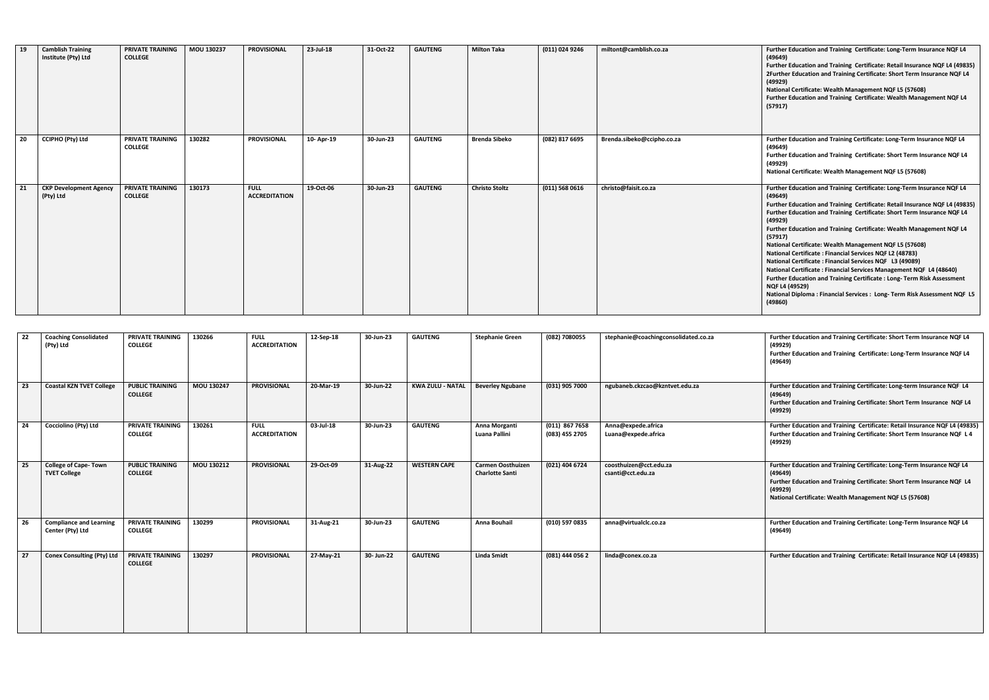| 22   | <b>Coaching Consolidated</b><br>(Pty) Ltd          | <b>PRIVATE TRAINING</b><br><b>COLLEGE</b> | 130266     | <b>FULL</b><br><b>ACCREDITATION</b> | 12-Sep-18 | 30-Jun-23  | <b>GAUTENG</b>          | Stephanie Green                             | (082) 7080055                      | stephanie@coachingconsolidated.co.za        | Further Education and Training Certificate: Short Term Insurance NQF L4<br>(49929)<br>Further Education and Training Certificate: Long-Term Insurance NQF L4<br>(49649)                                                           |
|------|----------------------------------------------------|-------------------------------------------|------------|-------------------------------------|-----------|------------|-------------------------|---------------------------------------------|------------------------------------|---------------------------------------------|-----------------------------------------------------------------------------------------------------------------------------------------------------------------------------------------------------------------------------------|
| 23   | <b>Coastal KZN TVET College</b>                    | <b>PUBLIC TRAINING</b><br><b>COLLEGE</b>  | MOU 130247 | <b>PROVISIONAL</b>                  | 20-Mar-19 | 30-Jun-22  | <b>KWA ZULU - NATAL</b> | <b>Beverley Ngubane</b>                     | (031) 905 7000                     | ngubaneb.ckzcao@kzntvet.edu.za              | Further Education and Training Certificate: Long-term Insurance NQF L4<br>(49649)<br>Further Education and Training Certificate: Short Term Insurance NQF L4<br>(49929)                                                           |
| 24   | Cocciolino (Pty) Ltd                               | <b>PRIVATE TRAINING</b><br><b>COLLEGE</b> | 130261     | <b>FULL</b><br><b>ACCREDITATION</b> | 03-Jul-18 | 30-Jun-23  | <b>GAUTENG</b>          | Anna Morganti<br>Luana Pallini              | $(011)$ 867 7658<br>(083) 455 2705 | Anna@expede.africa<br>Luana@expede.africa   | Further Education and Training Certificate: Retail Insurance NQF L4 (49835)<br>Further Education and Training Certificate: Short Term Insurance NQF L 4<br>(49929)                                                                |
| 25   | <b>College of Cape-Town</b><br><b>TVET College</b> | <b>PUBLIC TRAINING</b><br><b>COLLEGE</b>  | MOU 130212 | <b>PROVISIONAL</b>                  | 29-Oct-09 | 31-Aug-22  | <b>WESTERN CAPE</b>     | Carmen Oosthuizen<br><b>Charlotte Santi</b> | (021) 404 6724                     | coosthuizen@cct.edu.za<br>csanti@cct.edu.za | Further Education and Training Certificate: Long-Term Insurance NQF L4<br>(49649)<br>Further Education and Training Certificate: Short Term Insurance NQF L4<br>(49929)<br>National Certificate: Wealth Management NQF L5 (57608) |
| 26   | <b>Compliance and Learning</b><br>Center (Pty) Ltd | <b>PRIVATE TRAINING</b><br><b>COLLEGE</b> | 130299     | <b>PROVISIONAL</b>                  | 31-Aug-21 | 30-Jun-23  | <b>GAUTENG</b>          | Anna Bouhail                                | (010) 597 0835                     | anna@virtualclc.co.za                       | Further Education and Training Certificate: Long-Term Insurance NQF L4<br>(49649)                                                                                                                                                 |
| - 27 | <b>Conex Consulting (Pty) Ltd</b>                  | <b>PRIVATE TRAINING</b><br><b>COLLEGE</b> | 130297     | <b>PROVISIONAL</b>                  | 27-May-21 | 30- Jun-22 | <b>GAUTENG</b>          | Linda Smidt                                 | (081) 444 056 2                    | linda@conex.co.za                           | Further Education and Training Certificate: Retail Insurance NQF L4 (49835)                                                                                                                                                       |

| Further Education and Training Certificate: Short Term Insurance NQF L4<br>(49929)  |
|-------------------------------------------------------------------------------------|
| Further Education and Training Certificate: Long-Term Insurance NQF L4<br>(49649)   |
|                                                                                     |
| Further Education and Training Certificate: Long-term Insurance NQF L4<br>(49649)   |
| Further Education and Training Certificate: Short Term Insurance NQF L4<br>(49929)  |
| Further Education and Training Certificate: Retail Insurance NQF L4 (49835)         |
| Further Education and Training Certificate: Short Term Insurance NQF L 4<br>(49929) |
| Further Education and Training Certificate: Long-Term Insurance NQF L4              |
| (49649)                                                                             |
| Further Education and Training Certificate: Short Term Insurance NQF L4<br>(49929)  |
| National Certificate: Wealth Management NQF L5 (57608)                              |
| Further Education and Training Certificate: Long-Term Insurance NQF L4              |
| (49649)                                                                             |
| Further Education and Training Certificate: Retail Insurance NQF L4 (49835)         |
|                                                                                     |
|                                                                                     |
|                                                                                     |
|                                                                                     |
|                                                                                     |

| 19 | <b>Camblish Training</b><br>Institute (Pty) Ltd | <b>PRIVATE TRAINING</b><br><b>COLLEGE</b> | MOU 130237 | <b>PROVISIONAL</b>                  | 23-Jul-18 | 31-Oct-22 | <b>GAUTENG</b> | <b>Milton Taka</b>    | (011) 024 9246   | miltont@camblish.co.za     | Further Education and Training Certificate: Long-Term Insurance NQF L4<br>(49649)<br>Further Education and Training Certificate: Retail Insurance NQF L4 (49835)<br>2Further Education and Training Certificate: Short Term Insurance NQF L4<br>(49929)<br>National Certificate: Wealth Management NQF L5 (57608)<br>Further Education and Training Certificate: Wealth Management NQF L4<br>(57917)                                                                                                                                                                                                                                                                                                                                                                                     |
|----|-------------------------------------------------|-------------------------------------------|------------|-------------------------------------|-----------|-----------|----------------|-----------------------|------------------|----------------------------|------------------------------------------------------------------------------------------------------------------------------------------------------------------------------------------------------------------------------------------------------------------------------------------------------------------------------------------------------------------------------------------------------------------------------------------------------------------------------------------------------------------------------------------------------------------------------------------------------------------------------------------------------------------------------------------------------------------------------------------------------------------------------------------|
| 20 | <b>CCIPHO (Pty) Ltd</b>                         | PRIVATE TRAINING<br><b>COLLEGE</b>        | 130282     | <b>PROVISIONAL</b>                  | 10-Apr-19 | 30-Jun-23 | <b>GAUTENG</b> | Brenda Sibeko         | (082) 817 6695   | Brenda.sibeko@ccipho.co.za | Further Education and Training Certificate: Long-Term Insurance NQF L4<br>(49649)<br>Further Education and Training Certificate: Short Term Insurance NQF L4<br>(49929)<br>National Certificate: Wealth Management NQF L5 (57608)                                                                                                                                                                                                                                                                                                                                                                                                                                                                                                                                                        |
| 21 | <b>CKP Development Agency</b><br>(Pty) Ltd      | PRIVATE TRAINING<br><b>COLLEGE</b>        | 130173     | <b>FULL</b><br><b>ACCREDITATION</b> | 19-Oct-06 | 30-Jun-23 | <b>GAUTENG</b> | <b>Christo Stoltz</b> | $(011)$ 568 0616 | christo@faisit.co.za       | Further Education and Training Certificate: Long-Term Insurance NQF L4<br>(49649)<br>Further Education and Training Certificate: Retail Insurance NQF L4 (49835)<br>Further Education and Training Certificate: Short Term Insurance NQF L4<br>(49929)<br>Further Education and Training Certificate: Wealth Management NQF L4<br>(57917)<br>National Certificate: Wealth Management NQF L5 (57608)<br>National Certificate: Financial Services NQF L2 (48783)<br>National Certificate: Financial Services NQF L3 (49089)<br>National Certificate: Financial Services Management NQF L4 (48640)<br>Further Education and Training Certificate: Long-Term Risk Assessment<br><b>NQF L4 (49529)</b><br>National Diploma : Financial Services : Long-Term Risk Assessment NQF L5<br>(49860) |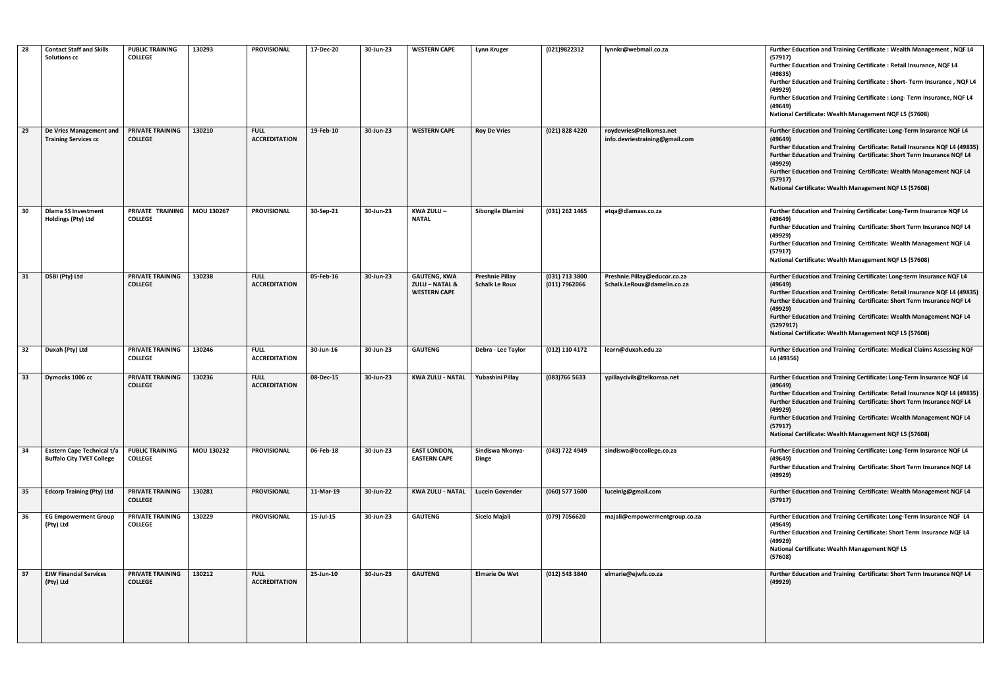| 28 | <b>Contact Staff and Skills</b><br><b>Solutions cc</b>         | <b>PUBLIC TRAINING</b><br><b>COLLEGE</b>  | 130293     | <b>PROVISIONAL</b>                  | 17-Dec-20 | 30-Jun-23 | <b>WESTERN CAPE</b>                                                     | Lynn Kruger                                     | (021)9822312                    | lynnkr@webmail.co.za                                        | Further Education and Training Certificate: Wealth Management, NQF L4<br>(57917)<br>Further Education and Training Certificate : Retail Insurance, NQF L4<br>(49835)<br>Further Education and Training Certificate : Short- Term Insurance, NQF L4<br>(49929)<br>Further Education and Training Certificate : Long- Term Insurance, NQF L4<br>(49649)<br>National Certificate: Wealth Management NQF L5 (57608) |
|----|----------------------------------------------------------------|-------------------------------------------|------------|-------------------------------------|-----------|-----------|-------------------------------------------------------------------------|-------------------------------------------------|---------------------------------|-------------------------------------------------------------|-----------------------------------------------------------------------------------------------------------------------------------------------------------------------------------------------------------------------------------------------------------------------------------------------------------------------------------------------------------------------------------------------------------------|
| 29 | De Vries Management and<br><b>Training Services cc</b>         | <b>PRIVATE TRAINING</b><br><b>COLLEGE</b> | 130210     | <b>FULL</b><br><b>ACCREDITATION</b> | 19-Feb-10 | 30-Jun-23 | <b>WESTERN CAPE</b>                                                     | <b>Roy De Vries</b>                             | (021) 828 4220                  | roydevries@telkomsa.net<br>info.devriestraining@gmail.com   | Further Education and Training Certificate: Long-Term Insurance NQF L4<br>(49649)<br>Further Education and Training Certificate: Retail Insurance NQF L4 (4983)<br>Further Education and Training Certificate: Short Term Insurance NQF L4<br>(49929)<br>Further Education and Training Certificate: Wealth Management NQF L4<br>(57917)<br>National Certificate: Wealth Management NQF L5 (57608)              |
| 30 | <b>Dlama SS Investment</b><br><b>Holdings (Pty) Ltd</b>        | PRIVATE TRAINING<br><b>COLLEGE</b>        | MOU 130267 | <b>PROVISIONAL</b>                  | 30-Sep-21 | 30-Jun-23 | KWA ZULU-<br><b>NATAL</b>                                               | Sibongile Dlamini                               | (031) 262 1465                  | etqa@dlamass.co.za                                          | Further Education and Training Certificate: Long-Term Insurance NQF L4<br>(49649)<br>Further Education and Training Certificate: Short Term Insurance NQF L4<br>(49929)<br>Further Education and Training Certificate: Wealth Management NQF L4<br>(57917)<br>National Certificate: Wealth Management NQF L5 (57608)                                                                                            |
| 31 | DSBI (Pty) Ltd                                                 | <b>PRIVATE TRAINING</b><br><b>COLLEGE</b> | 130238     | <b>FULL</b><br><b>ACCREDITATION</b> | 05-Feb-16 | 30-Jun-23 | <b>GAUTENG, KWA</b><br><b>ZULU - NATAL &amp;</b><br><b>WESTERN CAPE</b> | <b>Preshnie Pillay</b><br><b>Schalk Le Roux</b> | (031) 713 3800<br>(011) 7962066 | Preshnie.Pillay@educor.co.za<br>Schalk.LeRoux@damelin.co.za | Further Education and Training Certificate: Long-term Insurance NQF L4<br>(49649)<br>Further Education and Training Certificate: Retail Insurance NQF L4 (4983)<br>Further Education and Training Certificate: Short Term Insurance NQF L4<br>(49929)<br>Further Education and Training Certificate: Wealth Management NQF L4<br>(5297917)<br>National Certificate: Wealth Management NQF L5 (57608)            |
| 32 | Duxah (Pty) Ltd                                                | PRIVATE TRAINING<br><b>COLLEGE</b>        | 130246     | <b>FULL</b><br><b>ACCREDITATION</b> | 30-Jun-16 | 30-Jun-23 | <b>GAUTENG</b>                                                          | Debra - Lee Taylor                              | (012) 110 4172                  | learn@duxah.edu.za                                          | Further Education and Training Certificate: Medical Claims Assessing NQF<br>L4 (49356)                                                                                                                                                                                                                                                                                                                          |
| 33 | Dymocks 1006 cc                                                | <b>PRIVATE TRAINING</b><br><b>COLLEGE</b> | 130236     | <b>FULL</b><br><b>ACCREDITATION</b> | 08-Dec-15 | 30-Jun-23 | KWA ZULU - NATAL Yubashini Pillay                                       |                                                 | (083) 766 5633                  | ypillaycivils@telkomsa.net                                  | Further Education and Training Certificate: Long-Term Insurance NQF L4<br>(49649)<br>Further Education and Training Certificate: Retail Insurance NQF L4 (4983)<br>Further Education and Training Certificate: Short Term Insurance NQF L4<br>(49929)<br>Further Education and Training Certificate: Wealth Management NQF L4<br>(57917)<br>National Certificate: Wealth Management NQF L5 (57608)              |
| 34 | Eastern Cape Technical t/a<br><b>Buffalo City TVET College</b> | <b>PUBLIC TRAINING</b><br><b>COLLEGE</b>  | MOU 130232 | <b>PROVISIONAL</b>                  | 06-Feb-18 | 30-Jun-23 | <b>EAST LONDON,</b><br><b>EASTERN CAPE</b>                              | Sindiswa Nkonya-<br>Dinge                       | (043) 722 4949                  | sindiswa@bccollege.co.za                                    | Further Education and Training Certificate: Long-Term Insurance NQF L4<br>(49649)<br>Further Education and Training Certificate: Short Term Insurance NQF L4<br>(49929)                                                                                                                                                                                                                                         |
| 35 | <b>Edcorp Training (Pty) Ltd</b>                               | <b>PRIVATE TRAINING</b><br><b>COLLEGE</b> | 130281     | <b>PROVISIONAL</b>                  | 11-Mar-19 | 30-Jun-22 | KWA ZULU - NATAL   Lucein Govender                                      |                                                 | (060) 577 1600                  | luceinlg@gmail.com                                          | Further Education and Training Certificate: Wealth Management NQF L4<br>(57917)                                                                                                                                                                                                                                                                                                                                 |
| 36 | <b>EG Empowerment Group</b><br>(Pty) Ltd                       | <b>PRIVATE TRAINING</b><br><b>COLLEGE</b> | 130229     | <b>PROVISIONAL</b>                  | 15-Jul-15 | 30-Jun-23 | <b>GAUTENG</b>                                                          | Sicelo Majali                                   | (079) 7056620                   | majali@empowermentgroup.co.za                               | Further Education and Training Certificate: Long-Term Insurance NQF L4<br>(49649)<br>Further Education and Training Certificate: Short Term Insurance NQF L4<br>(49929)<br>National Certificate: Wealth Management NQF L5<br>(57608)                                                                                                                                                                            |
| 37 | <b>EJW Financial Services</b><br>(Pty) Ltd                     | <b>PRIVATE TRAINING</b><br><b>COLLEGE</b> | 130212     | <b>FULL</b><br><b>ACCREDITATION</b> | 25-Jun-10 | 30-Jun-23 | <b>GAUTENG</b>                                                          | <b>Elmarie De Wet</b>                           | (012) 543 3840                  | elmarie@ejwfs.co.za                                         | Further Education and Training Certificate: Short Term Insurance NQF L4<br>(49929)                                                                                                                                                                                                                                                                                                                              |

| (021)9822312                    | lynnkr@webmail.co.za                                        | Further Education and Training Certificate: Wealth Management, NQF L4<br>(57917)<br>Further Education and Training Certificate: Retail Insurance, NQF L4<br>(49835)<br>Further Education and Training Certificate: Short-Term Insurance, NQF L4<br>(49929)<br>Further Education and Training Certificate : Long- Term Insurance, NQF L4<br>(49649)<br>National Certificate: Wealth Management NQF L5 (57608) |
|---------------------------------|-------------------------------------------------------------|--------------------------------------------------------------------------------------------------------------------------------------------------------------------------------------------------------------------------------------------------------------------------------------------------------------------------------------------------------------------------------------------------------------|
| (021) 828 4220                  | roydevries@telkomsa.net<br>info.devriestraining@gmail.com   | Further Education and Training Certificate: Long-Term Insurance NQF L4<br>(49649)<br>Further Education and Training Certificate: Retail Insurance NQF L4 (49835)<br>Further Education and Training Certificate: Short Term Insurance NQF L4<br>(49929)<br>Further Education and Training Certificate: Wealth Management NQF L4<br>(57917)<br>National Certificate: Wealth Management NQF L5 (57608)          |
| (031) 262 1465                  | etga@dlamass.co.za                                          | Further Education and Training Certificate: Long-Term Insurance NQF L4<br>(49649)<br>Further Education and Training Certificate: Short Term Insurance NQF L4<br>(49929)<br>Further Education and Training Certificate: Wealth Management NQF L4<br>(57917)<br>National Certificate: Wealth Management NQF L5 (57608)                                                                                         |
| (031) 713 3800<br>(011) 7962066 | Preshnie.Pillay@educor.co.za<br>Schalk.LeRoux@damelin.co.za | Further Education and Training Certificate: Long-term Insurance NQF L4<br>(49649)<br>Further Education and Training Certificate: Retail Insurance NQF L4 (49835)<br>Further Education and Training Certificate: Short Term Insurance NQF L4<br>(49929)<br>Further Education and Training Certificate: Wealth Management NQF L4<br>(5297917)<br>National Certificate: Wealth Management NQF L5 (57608)        |
| (012) 110 4172                  | learn@duxah.edu.za                                          | Further Education and Training Certificate: Medical Claims Assessing NQF<br>L4 (49356)                                                                                                                                                                                                                                                                                                                       |
| (083)766 5633                   | ypillaycivils@telkomsa.net                                  | Further Education and Training Certificate: Long-Term Insurance NQF L4<br>(49649)<br>Further Education and Training Certificate: Retail Insurance NQF L4 (49835)<br>Further Education and Training Certificate: Short Term Insurance NQF L4<br>(49929)<br>Further Education and Training Certificate: Wealth Management NQF L4<br>(57917)<br>National Certificate: Wealth Management NQF L5 (57608)          |
| (043) 722 4949                  | sindiswa@bccollege.co.za                                    | Further Education and Training Certificate: Long-Term Insurance NQF L4<br>(49649)<br>Further Education and Training Certificate: Short Term Insurance NQF L4<br>(49929)                                                                                                                                                                                                                                      |
| (060) 577 1600                  | luceinlg@gmail.com                                          | Further Education and Training Certificate: Wealth Management NQF L4<br>(57917)                                                                                                                                                                                                                                                                                                                              |
| (079) 7056620                   | majali@empowermentgroup.co.za                               | Further Education and Training Certificate: Long-Term Insurance NQF L4<br>(49649)<br>Further Education and Training Certificate: Short Term Insurance NQF L4<br>(49929)<br><b>National Certificate: Wealth Management NQF L5</b><br>(57608)                                                                                                                                                                  |
| (012) 543 3840                  | elmarie@ejwfs.co.za                                         | Further Education and Training Certificate: Short Term Insurance NQF L4<br>(49929)                                                                                                                                                                                                                                                                                                                           |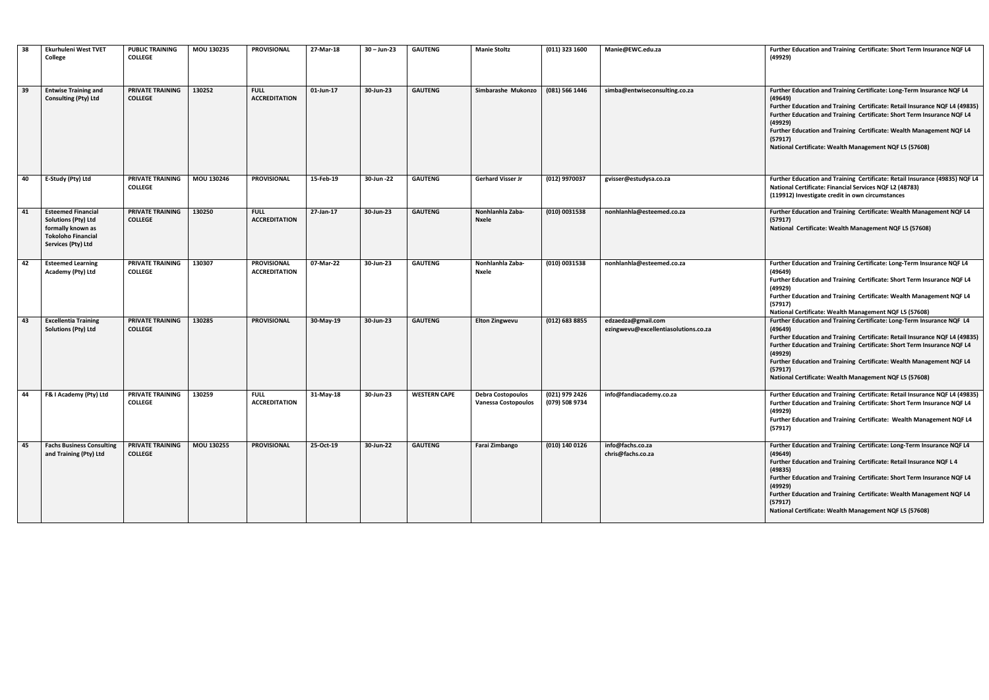| 38 | Ekurhuleni West TVET<br>College                                                                                                 | <b>PUBLIC TRAINING</b><br><b>COLLEGE</b>  | MOU 130235 | <b>PROVISIONAL</b>                         | 27-Mar-18 | $30 - Jun - 23$ | <b>GAUTENG</b>      | <b>Manie Stoltz</b>                                    | (011) 323 1600                   | Manie@EWC.edu.za                                           | Further Education and Training Certificate: Short Term Insurance NQF L4<br>(49929)                                                                                                                                                                                                                                                                                                                      |
|----|---------------------------------------------------------------------------------------------------------------------------------|-------------------------------------------|------------|--------------------------------------------|-----------|-----------------|---------------------|--------------------------------------------------------|----------------------------------|------------------------------------------------------------|---------------------------------------------------------------------------------------------------------------------------------------------------------------------------------------------------------------------------------------------------------------------------------------------------------------------------------------------------------------------------------------------------------|
| 39 | <b>Entwise Training and</b><br><b>Consulting (Pty) Ltd</b>                                                                      | <b>PRIVATE TRAINING</b><br><b>COLLEGE</b> | 130252     | <b>FULL</b><br><b>ACCREDITATION</b>        | 01-Jun-17 | 30-Jun-23       | <b>GAUTENG</b>      | Simbarashe Mukonzo                                     | (081) 566 1446                   | simba@entwiseconsulting.co.za                              | Further Education and Training Certificate: Long-Term Insurance NQF L4<br>(49649)<br>Further Education and Training Certificate: Retail Insurance NQF L4 (49835)<br>Further Education and Training Certificate: Short Term Insurance NQF L4<br>(49929)<br>Further Education and Training Certificate: Wealth Management NQF L4<br>(57917)<br>National Certificate: Wealth Management NQF L5 (57608)     |
| 40 | E-Study (Pty) Ltd                                                                                                               | <b>PRIVATE TRAINING</b><br><b>COLLEGE</b> | MOU 130246 | <b>PROVISIONAL</b>                         | 15-Feb-19 | 30-Jun -22      | <b>GAUTENG</b>      | <b>Gerhard Visser Jr</b>                               | (012) 9970037                    | gvisser@estudysa.co.za                                     | Further Education and Training Certificate: Retail Insurance (49835) NQF L4<br>National Certificate: Financial Services NQF L2 (48783)<br>(119912) Investigate credit in own circumstances                                                                                                                                                                                                              |
| 41 | <b>Esteemed Financial</b><br><b>Solutions (Pty) Ltd</b><br>formally known as<br><b>Tokoloho Financial</b><br>Services (Pty) Ltd | <b>PRIVATE TRAINING</b><br><b>COLLEGE</b> | 130250     | <b>FULL</b><br><b>ACCREDITATION</b>        | 27-Jan-17 | 30-Jun-23       | <b>GAUTENG</b>      | Nonhlanhla Zaba-<br>Nxele                              | (010) 0031538                    | nonhlanhla@esteemed.co.za                                  | Further Education and Training Certificate: Wealth Management NQF L4<br>(57917)<br>National Certificate: Wealth Management NQF L5 (57608)                                                                                                                                                                                                                                                               |
| 42 | <b>Esteemed Learning</b><br>Academy (Pty) Ltd                                                                                   | <b>PRIVATE TRAINING</b><br><b>COLLEGE</b> | 130307     | <b>PROVISIONAL</b><br><b>ACCREDITATION</b> | 07-Mar-22 | 30-Jun-23       | <b>GAUTENG</b>      | Nonhlanhla Zaba-<br>Nxele                              | (010) 0031538                    | nonhlanhla@esteemed.co.za                                  | Further Education and Training Certificate: Long-Term Insurance NQF L4<br>(49649)<br>Further Education and Training Certificate: Short Term Insurance NQF L4<br>(49929)<br>Further Education and Training Certificate: Wealth Management NQF L4<br>(57917)<br>National Certificate: Wealth Management NQF L5 (57608)                                                                                    |
| 43 | <b>Excellentia Training</b><br>Solutions (Pty) Ltd                                                                              | <b>PRIVATE TRAINING</b><br><b>COLLEGE</b> | 130285     | <b>PROVISIONAL</b>                         | 30-May-19 | 30-Jun-23       | <b>GAUTENG</b>      | <b>Elton Zingwevu</b>                                  | (012) 683 8855                   | edzaedza@gmail.com<br>ezingwevu@excellentiasolutions.co.za | Further Education and Training Certificate: Long-Term Insurance NQF L4<br>(49649)<br>Further Education and Training Certificate: Retail Insurance NQF L4 (49835)<br>Further Education and Training Certificate: Short Term Insurance NQF L4<br>(49929)<br>Further Education and Training Certificate: Wealth Management NQF L4<br>(57917)<br>National Certificate: Wealth Management NQF L5 (57608)     |
| 44 | F& I Academy (Pty) Ltd                                                                                                          | <b>PRIVATE TRAINING</b><br><b>COLLEGE</b> | 130259     | <b>FULL</b><br><b>ACCREDITATION</b>        | 31-May-18 | 30-Jun-23       | <b>WESTERN CAPE</b> | <b>Debra Costopoulos</b><br><b>Vanessa Costopoulos</b> | (021) 979 2426<br>(079) 508 9734 | info@fandiacademy.co.za                                    | Further Education and Training Certificate: Retail Insurance NQF L4 (49835)<br>Further Education and Training Certificate: Short Term Insurance NQF L4<br>(49929)<br>Further Education and Training Certificate: Wealth Management NQF L4<br>(57917)                                                                                                                                                    |
| 45 | <b>Fachs Business Consulting</b><br>and Training (Pty) Ltd                                                                      | <b>PRIVATE TRAINING</b><br><b>COLLEGE</b> | MOU 130255 | <b>PROVISIONAL</b>                         | 25-Oct-19 | 30-Jun-22       | <b>GAUTENG</b>      | Farai Zimbango                                         | (010) 140 0126                   | info@fachs.co.za<br>chris@fachs.co.za                      | Further Education and Training Certificate: Long-Term Insurance NQF L4<br>(49649)<br>Further Education and Training Certificate: Retail Insurance NQF L 4<br>(49835)<br>Further Education and Training Certificate: Short Term Insurance NQF L4<br>(49929)<br>Further Education and Training Certificate: Wealth Management NQF L4<br>(57917)<br>National Certificate: Wealth Management NQF L5 (57608) |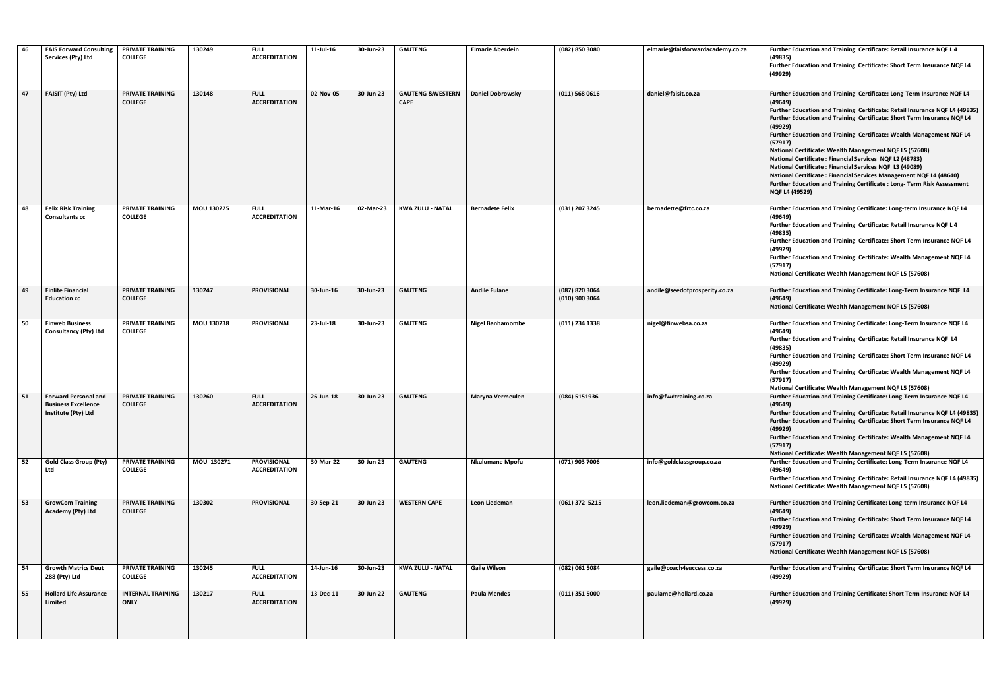| 46 | <b>FAIS Forward Consulting</b><br>Services (Pty) Ltd                             | PRIVATE TRAINING<br><b>COLLEGE</b>        | 130249     | <b>FULL</b><br><b>ACCREDITATION</b>        | 11-Jul-16 | 30-Jun-23 | <b>GAUTENG</b>                              | <b>Elmarie Aberdein</b> | (082) 850 3080                   | elmarie@faisforwardacademy.co.za | Further Education and Training Certificate: Retail Insurance NQF L 4<br>(49835)<br>Further Education and Training Certificate: Short Term Insurance NQF L4<br>(49929)                                                                                                                                                                                                                                                                                                                                                                                                                                                                                                                                    |
|----|----------------------------------------------------------------------------------|-------------------------------------------|------------|--------------------------------------------|-----------|-----------|---------------------------------------------|-------------------------|----------------------------------|----------------------------------|----------------------------------------------------------------------------------------------------------------------------------------------------------------------------------------------------------------------------------------------------------------------------------------------------------------------------------------------------------------------------------------------------------------------------------------------------------------------------------------------------------------------------------------------------------------------------------------------------------------------------------------------------------------------------------------------------------|
| 47 | FAISIT (Pty) Ltd                                                                 | PRIVATE TRAINING<br><b>COLLEGE</b>        | 130148     | <b>FULL</b><br><b>ACCREDITATION</b>        | 02-Nov-05 | 30-Jun-23 | <b>GAUTENG &amp; WESTERN</b><br><b>CAPE</b> | <b>Daniel Dobrowsky</b> | (011) 568 0616                   | daniel@faisit.co.za              | Further Education and Training Certificate: Long-Term Insurance NQF L4<br>(49649)<br>Further Education and Training Certificate: Retail Insurance NQF L4 (49835)<br>Further Education and Training Certificate: Short Term Insurance NQF L4<br>(49929)<br>Further Education and Training Certificate: Wealth Management NQF L4<br>(57917)<br>National Certificate: Wealth Management NQF L5 (57608)<br>National Certificate: Financial Services NQF L2 (48783)<br><b>National Certificate: Financial Services NQF L3 (49089)</b><br><b>National Certificate: Financial Services Management NQF L4 (48640)</b><br>Further Education and Training Certificate: Long-Term Risk Assessment<br>NQF L4 (49529) |
| 48 | <b>Felix Risk Training</b><br><b>Consultants cc</b>                              | PRIVATE TRAINING<br><b>COLLEGE</b>        | MOU 130225 | <b>FULL</b><br><b>ACCREDITATION</b>        | 11-Mar-16 | 02-Mar-23 | <b>KWA ZULU - NATAL</b>                     | <b>Bernadete Felix</b>  | (031) 207 3245                   | bernadette@frtc.co.za            | Further Education and Training Certificate: Long-term Insurance NQF L4<br>(49649)<br>Further Education and Training Certificate: Retail Insurance NQF L 4<br>(49835)<br>Further Education and Training Certificate: Short Term Insurance NQF L4<br>(49929)<br>Further Education and Training Certificate: Wealth Management NQF L4<br>(57917)<br>National Certificate: Wealth Management NQF L5 (57608)                                                                                                                                                                                                                                                                                                  |
| 49 | <b>Finlite Financial</b><br><b>Education cc</b>                                  | PRIVATE TRAINING<br><b>COLLEGE</b>        | 130247     | <b>PROVISIONAL</b>                         | 30-Jun-16 | 30-Jun-23 | <b>GAUTENG</b>                              | <b>Andile Fulane</b>    | (087) 820 3064<br>(010) 900 3064 | andile@seedofprosperity.co.za    | Further Education and Training Certificate: Long-Term Insurance NQF L4<br>(49649)<br>National Certificate: Wealth Management NQF L5 (57608)                                                                                                                                                                                                                                                                                                                                                                                                                                                                                                                                                              |
| 50 | <b>Finweb Business</b><br><b>Consultancy (Pty) Ltd</b>                           | PRIVATE TRAINING<br><b>COLLEGE</b>        | MOU 130238 | <b>PROVISIONAL</b>                         | 23-Jul-18 | 30-Jun-23 | <b>GAUTENG</b>                              | <b>Nigel Banhamombe</b> | (011) 234 1338                   | nigel@finwebsa.co.za             | Further Education and Training Certificate: Long-Term Insurance NQF L4<br>(49649)<br>Further Education and Training Certificate: Retail Insurance NQF L4<br>(49835)<br>Further Education and Training Certificate: Short Term Insurance NQF L4<br>(49929)<br>Further Education and Training Certificate: Wealth Management NQF L4<br>(57917)<br>National Certificate: Wealth Management NQF L5 (57608)                                                                                                                                                                                                                                                                                                   |
| 51 | <b>Forward Personal and</b><br><b>Business Excellence</b><br>Institute (Pty) Ltd | PRIVATE TRAINING<br><b>COLLEGE</b>        | 130260     | <b>FULL</b><br><b>ACCREDITATION</b>        | 26-Jun-18 | 30-Jun-23 | <b>GAUTENG</b>                              | <b>Maryna Vermeulen</b> | (084) 5151936                    | info@fwdtraining.co.za           | Further Education and Training Certificate: Long-Term Insurance NQF L4<br>(49649)<br>Further Education and Training Certificate: Retail Insurance NQF L4 (49835)<br>Further Education and Training Certificate: Short Term Insurance NQF L4<br>(49929)<br>Further Education and Training Certificate: Wealth Management NQF L4<br>(57917)<br>National Certificate: Wealth Management NQF L5 (57608)                                                                                                                                                                                                                                                                                                      |
| 52 | <b>Gold Class Group (Pty)</b><br>Ltd                                             | <b>PRIVATE TRAINING</b><br><b>COLLEGE</b> | MOU 130271 | <b>PROVISIONAL</b><br><b>ACCREDITATION</b> | 30-Mar-22 | 30-Jun-23 | <b>GAUTENG</b>                              | <b>Nkulumane Mpofu</b>  | (071) 903 7006                   | info@goldclassgroup.co.za        | Further Education and Training Certificate: Long-Term Insurance NQF L4<br>(49649)<br>Further Education and Training Certificate: Retail Insurance NQF L4 (49835)<br>National Certificate: Wealth Management NQF L5 (57608)                                                                                                                                                                                                                                                                                                                                                                                                                                                                               |
| 53 | <b>GrowCom Training</b><br>Academy (Pty) Ltd                                     | PRIVATE TRAINING<br><b>COLLEGE</b>        | 130302     | <b>PROVISIONAL</b>                         | 30-Sep-21 | 30-Jun-23 | <b>WESTERN CAPE</b>                         | Leon Liedeman           | (061) 372 5215                   | leon.liedeman@growcom.co.za      | Further Education and Training Certificate: Long-term Insurance NQF L4<br>(49649)<br>Further Education and Training Certificate: Short Term Insurance NQF L4<br>(49929)<br>Further Education and Training Certificate: Wealth Management NQF L4<br>(57917)<br>National Certificate: Wealth Management NQF L5 (57608)                                                                                                                                                                                                                                                                                                                                                                                     |
| 54 | <b>Growth Matrics Deut</b><br>288 (Pty) Ltd                                      | PRIVATE TRAINING<br><b>COLLEGE</b>        | 130245     | <b>FULL</b><br><b>ACCREDITATION</b>        | 14-Jun-16 | 30-Jun-23 | <b>KWA ZULU - NATAL</b>                     | <b>Gaile Wilson</b>     | (082) 061 5084                   | gaile@coach4success.co.za        | Further Education and Training Certificate: Short Term Insurance NQF L4<br>(49929)                                                                                                                                                                                                                                                                                                                                                                                                                                                                                                                                                                                                                       |
| 55 | <b>Hollard Life Assurance</b><br>Limited                                         | <b>INTERNAL TRAINING</b><br><b>ONLY</b>   | 130217     | <b>FULL</b><br><b>ACCREDITATION</b>        | 13-Dec-11 | 30-Jun-22 | <b>GAUTENG</b>                              | <b>Paula Mendes</b>     | (011) 351 5000                   | paulame@hollard.co.za            | Further Education and Training Certificate: Short Term Insurance NQF L4<br>(49929)                                                                                                                                                                                                                                                                                                                                                                                                                                                                                                                                                                                                                       |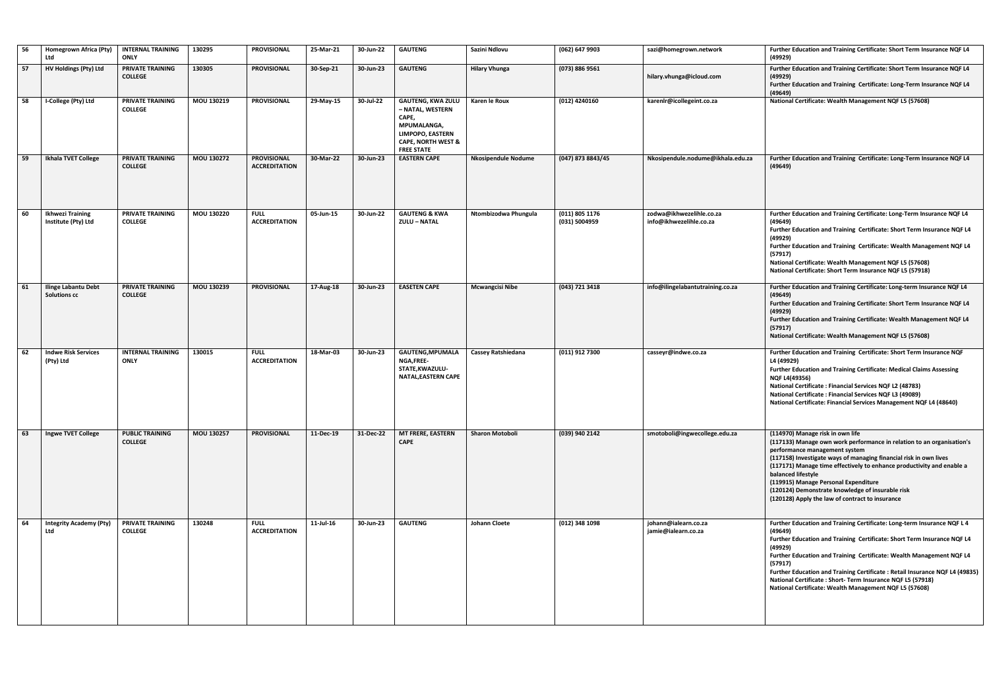| 56 | Homegrown Africa (Pty)<br>Ltd                     | <b>INTERNAL TRAINING</b><br><b>ONLY</b>   | 130295     | <b>PROVISIONAL</b>                         | 25-Mar-21 | 30-Jun-22 | <b>GAUTENG</b>                                                                                                                                 | Sazini Ndlovu              | (062) 647 9903                  | sazi@homegrown.network                              | Further Education and Training Certificate: Short Term Insurance NQF L4                                                                                                                                                                                                                                                                                                                                                                                           |
|----|---------------------------------------------------|-------------------------------------------|------------|--------------------------------------------|-----------|-----------|------------------------------------------------------------------------------------------------------------------------------------------------|----------------------------|---------------------------------|-----------------------------------------------------|-------------------------------------------------------------------------------------------------------------------------------------------------------------------------------------------------------------------------------------------------------------------------------------------------------------------------------------------------------------------------------------------------------------------------------------------------------------------|
| 57 | <b>HV Holdings (Pty) Ltd</b>                      | <b>PRIVATE TRAINING</b><br><b>COLLEGE</b> | 130305     | <b>PROVISIONAL</b>                         | 30-Sep-21 | 30-Jun-23 | <b>GAUTENG</b>                                                                                                                                 | <b>Hilary Vhunga</b>       | (073) 886 9561                  | hilary.vhunga@icloud.com                            | (49929)<br>Further Education and Training Certificate: Short Term Insurance NQF L4<br>(49929)<br>Further Education and Training Certificate: Long-Term Insurance NQF L4                                                                                                                                                                                                                                                                                           |
| 58 | I-College (Pty) Ltd                               | PRIVATE TRAINING<br><b>COLLEGE</b>        | MOU 130219 | <b>PROVISIONAL</b>                         | 29-May-15 | 30-Jul-22 | <b>GAUTENG, KWA ZULU</b><br>- NATAL, WESTERN<br>CAPE,<br>MPUMALANGA.<br>LIMPOPO, EASTERN<br><b>CAPE, NORTH WEST &amp;</b><br><b>FREE STATE</b> | Karen le Roux              | (012) 4240160                   | karenlr@icollegeint.co.za                           | (49649)<br>National Certificate: Wealth Management NQF L5 (57608)                                                                                                                                                                                                                                                                                                                                                                                                 |
| 59 | Ikhala TVET College                               | PRIVATE TRAINING<br><b>COLLEGE</b>        | MOU 130272 | <b>PROVISIONAL</b><br><b>ACCREDITATION</b> | 30-Mar-22 | 30-Jun-23 | <b>EASTERN CAPE</b>                                                                                                                            | <b>Nkosipendule Nodume</b> | (047) 873 8843/45               | Nkosipendule.nodume@ikhala.edu.za                   | Further Education and Training Certificate: Long-Term Insurance NQF L4<br>(49649)                                                                                                                                                                                                                                                                                                                                                                                 |
| 60 | <b>Ikhwezi Training</b><br>Institute (Pty) Ltd    | PRIVATE TRAINING<br><b>COLLEGE</b>        | MOU 130220 | <b>FULL</b><br><b>ACCREDITATION</b>        | 05-Jun-15 | 30-Jun-22 | <b>GAUTENG &amp; KWA</b><br><b>ZULU - NATAL</b>                                                                                                | Ntombizodwa Phungula       | (011) 805 1176<br>(031) 5004959 | zodwa@ikhwezelihle.co.za<br>info@ikhwezelihle.co.za | Further Education and Training Certificate: Long-Term Insurance NQF L4<br>(49649)<br>Further Education and Training Certificate: Short Term Insurance NQF L4<br>(49929)<br>Further Education and Training Certificate: Wealth Management NQF L4<br>(57917)<br>National Certificate: Wealth Management NQF L5 (57608)<br>National Certificate: Short Term Insurance NQF L5 (57918)                                                                                 |
| 61 | <b>Ilinge Labantu Debt</b><br><b>Solutions cc</b> | PRIVATE TRAINING<br><b>COLLEGE</b>        | MOU 130239 | <b>PROVISIONAL</b>                         | 17-Aug-18 | 30-Jun-23 | <b>EASETEN CAPE</b>                                                                                                                            | <b>Mcwangcisi Nibe</b>     | (043) 721 3418                  | info@ilingelabantutraining.co.za                    | Further Education and Training Certificate: Long-term Insurance NQF L4<br>(49649)<br>Further Education and Training Certificate: Short Term Insurance NQF L4<br>(49929)<br>Further Education and Training Certificate: Wealth Management NQF L4<br>(57917)<br>National Certificate: Wealth Management NQF L5 (57608)                                                                                                                                              |
| 62 | <b>Indwe Risk Services</b><br>(Pty) Ltd           | <b>INTERNAL TRAINING</b><br><b>ONLY</b>   | 130015     | <b>FULL</b><br><b>ACCREDITATION</b>        | 18-Mar-03 | 30-Jun-23 | <b>GAUTENG, MPUMALA</b><br>NGA,FREE-<br>STATE, KWAZULU-<br>NATAL, EASTERN CAPE                                                                 | Cassey Ratshiedana         | (011) 912 7300                  | casseyr@indwe.co.za                                 | Further Education and Training Certificate: Short Term Insurance NQF<br>L4 (49929)<br>Further Education and Training Certificate: Medical Claims Assessing<br><b>NQF L4(49356)</b><br><b>National Certificate: Financial Services NQF L2 (48783)</b><br><b>National Certificate: Financial Services NQF L3 (49089)</b><br>National Certificate: Financial Services Management NQF L4 (48640)                                                                      |
| 63 | Ingwe TVET College                                | <b>PUBLIC TRAINING</b><br><b>COLLEGE</b>  | MOU 130257 | <b>PROVISIONAL</b>                         | 11-Dec-19 | 31-Dec-22 | <b>MT FRERE, EASTERN</b><br><b>CAPE</b>                                                                                                        | <b>Sharon Motoboli</b>     | (039) 940 2142                  | smotoboli@ingwecollege.edu.za                       | (114970) Manage risk in own life<br>(117133) Manage own work performance in relation to an organisation's<br>performance management system<br>(117158) Investigate ways of managing financial risk in own lives<br>(117171) Manage time effectively to enhance productivity and enable a<br>balanced lifestyle<br>(119915) Manage Personal Expenditure<br>(120124) Demonstrate knowledge of insurable risk<br>(120128) Apply the law of contract to insurance     |
| 64 | <b>Integrity Academy (Pty)</b><br>Ltd             | <b>PRIVATE TRAINING</b><br><b>COLLEGE</b> | 130248     | <b>FULL</b><br><b>ACCREDITATION</b>        | 11-Jul-16 | 30-Jun-23 | <b>GAUTENG</b>                                                                                                                                 | <b>Johann Cloete</b>       | (012) 348 1098                  | johann@ialearn.co.za<br>jamie@ialearn.co.za         | Further Education and Training Certificate: Long-term Insurance NQF L 4<br>(49649)<br>Further Education and Training Certificate: Short Term Insurance NQF L4<br>(49929)<br>Further Education and Training Certificate: Wealth Management NQF L4<br>(57917)<br>Further Education and Training Certificate: Retail Insurance NQF L4 (49835)<br>National Certificate: Short-Term Insurance NQF L5 (57918)<br>National Certificate: Wealth Management NQF L5 (57608) |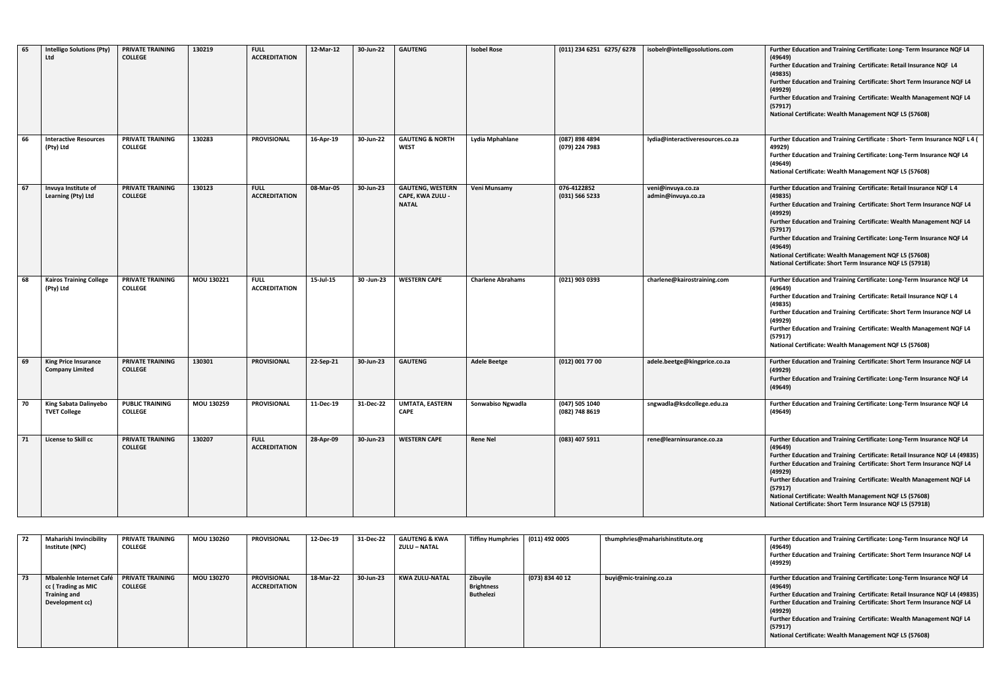| 65 | <b>Intelligo Solutions (Pty)</b><br>Ltd               | <b>PRIVATE TRAINING</b><br><b>COLLEGE</b> | 130219     | <b>FULL</b><br><b>ACCREDITATION</b> | 12-Mar-12 | 30-Jun-22     | <b>GAUTENG</b>                                              | <b>Isobel Rose</b>       | (011) 234 6251 6275/6278         | isobelr@intelligosolutions.com          | Further Education and Training Certificate: Long-Term Insurance NQF L4<br>(49649)<br>Further Education and Training Certificate: Retail Insurance NQF L4<br>(49835)<br>Further Education and Training Certificate: Short Term Insurance NQF L4<br>(49929)<br>Further Education and Training Certificate: Wealth Management NQF L4<br>(57917)<br>National Certificate: Wealth Management NQF L5 (57608)                                                               |
|----|-------------------------------------------------------|-------------------------------------------|------------|-------------------------------------|-----------|---------------|-------------------------------------------------------------|--------------------------|----------------------------------|-----------------------------------------|----------------------------------------------------------------------------------------------------------------------------------------------------------------------------------------------------------------------------------------------------------------------------------------------------------------------------------------------------------------------------------------------------------------------------------------------------------------------|
| 66 | <b>Interactive Resources</b><br>(Pty) Ltd             | PRIVATE TRAINING<br><b>COLLEGE</b>        | 130283     | <b>PROVISIONAL</b>                  | 16-Apr-19 | 30-Jun-22     | <b>GAUTENG &amp; NORTH</b><br><b>WEST</b>                   | Lydia Mphahlane          | (087) 898 4894<br>(079) 224 7983 | lydia@interactiveresources.co.za        | Further Education and Training Certificate: Short- Term Insurance NQF L 4 (<br>49929)<br>Further Education and Training Certificate: Long-Term Insurance NQF L4<br>(49649)<br>National Certificate: Wealth Management NQF L5 (57608)                                                                                                                                                                                                                                 |
| 67 | Invuya Institute of<br><b>Learning (Pty) Ltd</b>      | PRIVATE TRAINING<br><b>COLLEGE</b>        | 130123     | <b>FULL</b><br><b>ACCREDITATION</b> | 08-Mar-05 | 30-Jun-23     | <b>GAUTENG, WESTERN</b><br>CAPE, KWA ZULU -<br><b>NATAL</b> | Veni Munsamy             | 076-4122852<br>(031) 566 5233    | veni@invuya.co.za<br>admin@invuya.co.za | Further Education and Training Certificate: Retail Insurance NQF L 4<br>(49835)<br>Further Education and Training Certificate: Short Term Insurance NQF L4<br>(49929)<br>Further Education and Training Certificate: Wealth Management NQF L4<br>(57917)<br>Further Education and Training Certificate: Long-Term Insurance NQF L4<br>(49649)<br>National Certificate: Wealth Management NQF L5 (57608)<br>National Certificate: Short Term Insurance NQF L5 (57918) |
| 68 | <b>Kairos Training College</b><br>(Pty) Ltd           | PRIVATE TRAINING<br><b>COLLEGE</b>        | MOU 130221 | <b>FULL</b><br><b>ACCREDITATION</b> | 15-Jul-15 | 30 - Jun - 23 | <b>WESTERN CAPE</b>                                         | <b>Charlene Abrahams</b> | (021) 903 0393                   | charlene@kairostraining.com             | Further Education and Training Certificate: Long-Term Insurance NQF L4<br>(49649)<br>Further Education and Training Certificate: Retail Insurance NQF L 4<br>(49835)<br>Further Education and Training Certificate: Short Term Insurance NQF L4<br>(49929)<br>Further Education and Training Certificate: Wealth Management NQF L4<br>(57917)<br>National Certificate: Wealth Management NQF L5 (57608)                                                              |
| 69 | <b>King Price Insurance</b><br><b>Company Limited</b> | PRIVATE TRAINING<br><b>COLLEGE</b>        | 130301     | <b>PROVISIONAL</b>                  | 22-Sep-21 | 30-Jun-23     | <b>GAUTENG</b>                                              | <b>Adele Beetge</b>      | (012) 001 77 00                  | adele.beetge@kingprice.co.za            | Further Education and Training Certificate: Short Term Insurance NQF L4<br>(49929)<br>Further Education and Training Certificate: Long-Term Insurance NQF L4<br>(49649)                                                                                                                                                                                                                                                                                              |
| 70 | <b>King Sabata Dalinyebo</b><br><b>TVET College</b>   | <b>PUBLIC TRAINING</b><br><b>COLLEGE</b>  | MOU 130259 | PROVISIONAL                         | 11-Dec-19 | 31-Dec-22     | <b>UMTATA, EASTERN</b><br><b>CAPE</b>                       | Sonwabiso Ngwadla        | (047) 505 1040<br>(082) 748 8619 | sngwadla@ksdcollege.edu.za              | Further Education and Training Certificate: Long-Term Insurance NQF L4<br>(49649)                                                                                                                                                                                                                                                                                                                                                                                    |
| 71 | License to Skill cc                                   | PRIVATE TRAINING<br><b>COLLEGE</b>        | 130207     | <b>FULL</b><br><b>ACCREDITATION</b> | 28-Apr-09 | 30-Jun-23     | <b>WESTERN CAPE</b>                                         | <b>Rene Nel</b>          | (083) 407 5911                   | rene@learninsurance.co.za               | Further Education and Training Certificate: Long-Term Insurance NQF L4<br>(49649)<br>Further Education and Training Certificate: Retail Insurance NQF L4 (49835)<br>Further Education and Training Certificate: Short Term Insurance NQF L4<br>(49929)<br>Further Education and Training Certificate: Wealth Management NQF L4<br>(57917)<br>National Certificate: Wealth Management NQF L5 (57608)<br>National Certificate: Short Term Insurance NQF L5 (57918)     |

|    | Maharishi Invincibility<br>Institute (NPC)                                              | <b>PRIVATE TRAINING</b><br><b>COLLEGE</b> | MOU 130260 | <b>PROVISIONAL</b>                         | 12-Dec-19 | 31-Dec-22 | <b>GAUTENG &amp; KWA</b><br>ZULU – NATAL | <b>Tiffiny Humphries</b>                   | (011) 492 0005  | thumphries@maharishinstitute.org | Further Education and Training Certificate: Long-Term Insurance NQF L4<br>(49649)<br>Further Education and Training Certificate: Short Term Insurance NQF L4<br>(49929)                                                                                                                                                                                                                             |
|----|-----------------------------------------------------------------------------------------|-------------------------------------------|------------|--------------------------------------------|-----------|-----------|------------------------------------------|--------------------------------------------|-----------------|----------------------------------|-----------------------------------------------------------------------------------------------------------------------------------------------------------------------------------------------------------------------------------------------------------------------------------------------------------------------------------------------------------------------------------------------------|
| 73 | Mbalenhle Internet Café<br>cc (Trading as MIC<br><b>Training and</b><br>Development cc) | <b>PRIVATE TRAINING</b><br><b>COLLEGE</b> | MOU 130270 | <b>PROVISIONAL</b><br><b>ACCREDITATION</b> | 18-Mar-22 | 30-Jun-23 | KWA ZULU-NATAL                           | Zibuyile<br><b>Brightness</b><br>Buthelezi | (073) 834 40 12 | buyi@mic-training.co.za          | Further Education and Training Certificate: Long-Term Insurance NQF L4<br>(49649)<br>Further Education and Training Certificate: Retail Insurance NQF L4 (49835)<br>Further Education and Training Certificate: Short Term Insurance NQF L4<br>(49929)<br>Further Education and Training Certificate: Wealth Management NQF L4<br>(57917)<br>National Certificate: Wealth Management NQF L5 (57608) |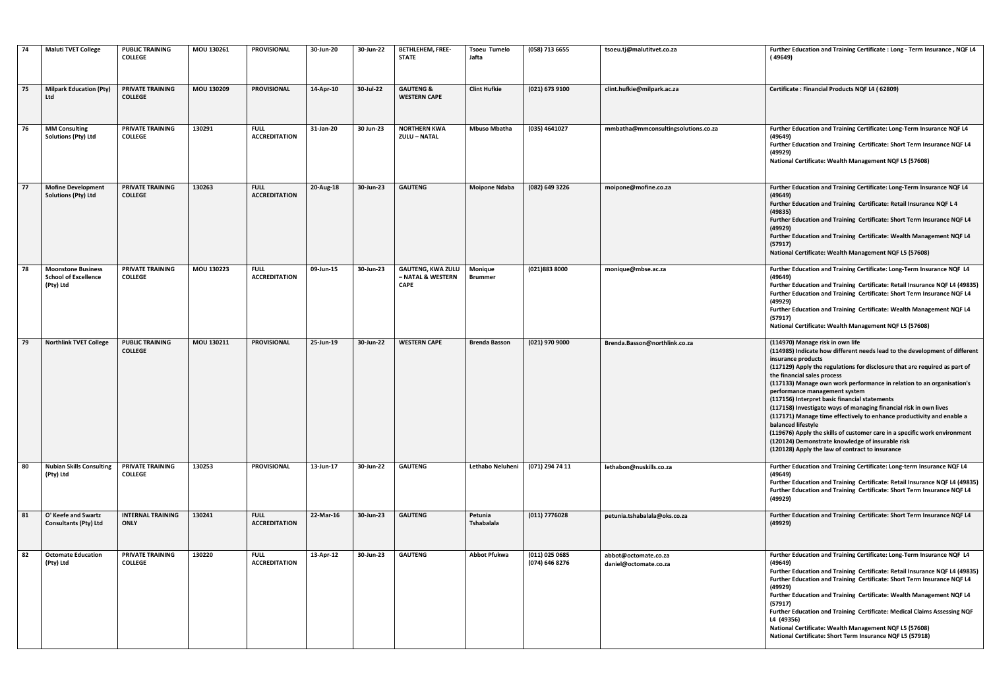| - 74 | <b>Maluti TVET College</b>                                            | <b>PUBLIC TRAINING</b><br><b>COLLEGE</b>  | MOU 130261        | <b>PROVISIONAL</b>                  | 30-Jun-20 | 30-Jun-22 | <b>BETHLEHEM, FREE-</b><br><b>STATE</b>                      | <b>Tsoeu Tumelo</b><br>Jafta | (058) 713 6655                   | tsoeu.tj@malutitvet.co.za                     | Further Education and Training Certificate : Long - Term Insurance, NQF L4<br>(49649)                                                                                                                                                                                                                                                                                                                                                                                                                                                                                                                                                                                                                                                                                |
|------|-----------------------------------------------------------------------|-------------------------------------------|-------------------|-------------------------------------|-----------|-----------|--------------------------------------------------------------|------------------------------|----------------------------------|-----------------------------------------------|----------------------------------------------------------------------------------------------------------------------------------------------------------------------------------------------------------------------------------------------------------------------------------------------------------------------------------------------------------------------------------------------------------------------------------------------------------------------------------------------------------------------------------------------------------------------------------------------------------------------------------------------------------------------------------------------------------------------------------------------------------------------|
| 75   | <b>Milpark Education (Pty)</b><br>Ltd                                 | <b>PRIVATE TRAINING</b><br><b>COLLEGE</b> | MOU 130209        | <b>PROVISIONAL</b>                  | 14-Apr-10 | 30-Jul-22 | <b>GAUTENG &amp;</b><br><b>WESTERN CAPE</b>                  | <b>Clint Hufkie</b>          | (021) 673 9100                   | clint.hufkie@milpark.ac.za                    | Certificate: Financial Products NQF L4 (62809)                                                                                                                                                                                                                                                                                                                                                                                                                                                                                                                                                                                                                                                                                                                       |
| 76   | <b>MM Consulting</b><br>Solutions (Pty) Ltd                           | PRIVATE TRAINING<br><b>COLLEGE</b>        | 130291            | <b>FULL</b><br><b>ACCREDITATION</b> | 31-Jan-20 | 30 Jun-23 | <b>NORTHERN KWA</b><br><b>ZULU - NATAL</b>                   | <b>Mbuso Mbatha</b>          | (035) 4641027                    | mmbatha@mmconsultingsolutions.co.za           | Further Education and Training Certificate: Long-Term Insurance NQF L4<br>(49649)<br>Further Education and Training Certificate: Short Term Insurance NQF L4<br>(49929)<br>National Certificate: Wealth Management NQF L5 (57608)                                                                                                                                                                                                                                                                                                                                                                                                                                                                                                                                    |
| 177  | <b>Mofine Development</b><br><b>Solutions (Pty) Ltd</b>               | PRIVATE TRAINING<br><b>COLLEGE</b>        | 130263            | <b>FULL</b><br><b>ACCREDITATION</b> | 20-Aug-18 | 30-Jun-23 | <b>GAUTENG</b>                                               | <b>Moipone Ndaba</b>         | (082) 649 3226                   | moipone@mofine.co.za                          | Further Education and Training Certificate: Long-Term Insurance NQF L4<br>(49649)<br>Further Education and Training Certificate: Retail Insurance NQF L 4<br>(49835)<br>Further Education and Training Certificate: Short Term Insurance NQF L4<br>(49929)<br>Further Education and Training Certificate: Wealth Management NQF L4<br>(57917)<br>National Certificate: Wealth Management NQF L5 (57608)                                                                                                                                                                                                                                                                                                                                                              |
| 78   | <b>Moonstone Business</b><br><b>School of Excellence</b><br>(Pty) Ltd | PRIVATE TRAINING<br><b>COLLEGE</b>        | <b>MOU 130223</b> | <b>FULL</b><br><b>ACCREDITATION</b> | 09-Jun-15 | 30-Jun-23 | <b>GAUTENG, KWA ZULU</b><br>– NATAL & WESTERN<br><b>CAPE</b> | Monique<br><b>Brummer</b>    | (021)883 8000                    | monique@mbse.ac.za                            | Further Education and Training Certificate: Long-Term Insurance NQF L4<br>(49649)<br>Further Education and Training Certificate: Retail Insurance NQF L4 (49835)<br>Further Education and Training Certificate: Short Term Insurance NQF L4<br>(49929)<br>Further Education and Training Certificate: Wealth Management NQF L4<br>(57917)<br>National Certificate: Wealth Management NQF L5 (57608)                                                                                                                                                                                                                                                                                                                                                                  |
| 79   | <b>Northlink TVET College</b>                                         | <b>PUBLIC TRAINING</b><br><b>COLLEGE</b>  | MOU 130211        | <b>PROVISIONAL</b>                  | 25-Jun-19 | 30-Jun-22 | <b>WESTERN CAPE</b>                                          | <b>Brenda Basson</b>         | (021) 970 9000                   | Brenda.Basson@northlink.co.za                 | (114970) Manage risk in own life<br>(114985) Indicate how different needs lead to the development of different<br>insurance products<br>(117129) Apply the regulations for disclosure that are required as part of<br>the financial sales process<br>(117133) Manage own work performance in relation to an organisation's<br>performance management system<br>(117156) Interpret basic financial statements<br>(117158) Investigate ways of managing financial risk in own lives<br>(117171) Manage time effectively to enhance productivity and enable a<br>balanced lifestyle<br>(119676) Apply the skills of customer care in a specific work environment<br>(120124) Demonstrate knowledge of insurable risk<br>(120128) Apply the law of contract to insurance |
| 80   | <b>Nubian Skills Consulting</b><br>(Pty) Ltd                          | <b>PRIVATE TRAINING</b><br><b>COLLEGE</b> | 130253            | <b>PROVISIONAL</b>                  | 13-Jun-17 | 30-Jun-22 | <b>GAUTENG</b>                                               | Lethabo Neluheni             | (071) 294 74 11                  | lethabon@nuskills.co.za                       | Further Education and Training Certificate: Long-term Insurance NQF L4<br>(49649)<br>Further Education and Training Certificate: Retail Insurance NQF L4 (49835)<br>Further Education and Training Certificate: Short Term Insurance NQF L4<br>(49929)                                                                                                                                                                                                                                                                                                                                                                                                                                                                                                               |
| 81   | O' Keefe and Swartz<br><b>Consultants (Pty) Ltd</b>                   | <b>INTERNAL TRAINING</b><br><b>ONLY</b>   | 130241            | <b>FULL</b><br><b>ACCREDITATION</b> | 22-Mar-16 | 30-Jun-23 | <b>GAUTENG</b>                                               | Petunia<br>Tshabalala        | (011) 7776028                    | petunia.tshabalala@oks.co.za                  | Further Education and Training Certificate: Short Term Insurance NQF L4<br>(49929)                                                                                                                                                                                                                                                                                                                                                                                                                                                                                                                                                                                                                                                                                   |
| 82   | <b>Octomate Education</b><br>(Pty) Ltd                                | PRIVATE TRAINING<br><b>COLLEGE</b>        | 130220            | <b>FULL</b><br><b>ACCREDITATION</b> | 13-Apr-12 | 30-Jun-23 | <b>GAUTENG</b>                                               | <b>Abbot Pfukwa</b>          | (011) 025 0685<br>(074) 646 8276 | abbot@octomate.co.za<br>daniel@octomate.co.za | Further Education and Training Certificate: Long-Term Insurance NQF L4<br>(49649)<br>Further Education and Training Certificate: Retail Insurance NQF L4 (49835)<br>Further Education and Training Certificate: Short Term Insurance NQF L4<br>(49929)<br>Further Education and Training Certificate: Wealth Management NQF L4<br>(57917)<br>Further Education and Training Certificate: Medical Claims Assessing NQF<br>L4 (49356)<br>National Certificate: Wealth Management NQF L5 (57608)<br>National Certificate: Short Term Insurance NQF L5 (57918)                                                                                                                                                                                                           |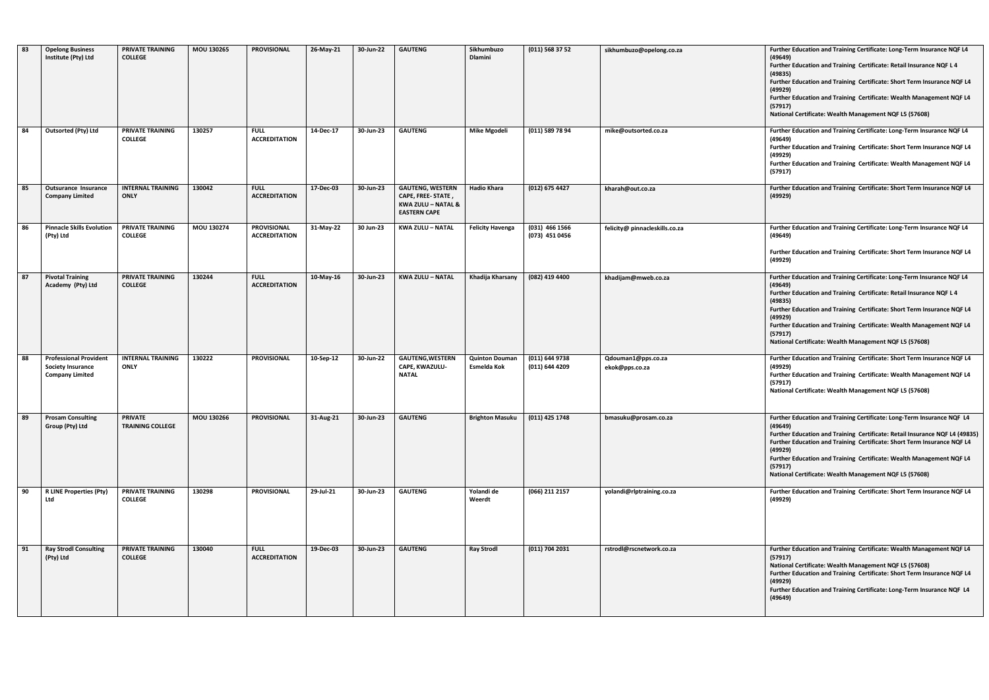| 83 | <b>Opelong Business</b><br>Institute (Pty) Ltd                                      | <b>PRIVATE TRAINING</b><br><b>COLLEGE</b> | MOU 130265        | <b>PROVISIONAL</b>                         | 26-May-21 | 30-Jun-22           | <b>GAUTENG</b>                                                                                       | Sikhumbuzo<br><b>Dlamini</b>         | $(011)$ 568 37 52                  | sikhumbuzo@opelong.co.za             | Further Education and Training Certificate: Long-Term Insurance NQF L4<br>(49649)<br>Further Education and Training Certificate: Retail Insurance NQF L 4<br>(49835)<br>Further Education and Training Certificate: Short Term Insurance NQF L4<br>(49929)<br>Further Education and Training Certificate: Wealth Management NQF L4<br>(57917)<br>National Certificate: Wealth Management NQF L5 (57608) |
|----|-------------------------------------------------------------------------------------|-------------------------------------------|-------------------|--------------------------------------------|-----------|---------------------|------------------------------------------------------------------------------------------------------|--------------------------------------|------------------------------------|--------------------------------------|---------------------------------------------------------------------------------------------------------------------------------------------------------------------------------------------------------------------------------------------------------------------------------------------------------------------------------------------------------------------------------------------------------|
| 84 | <b>Outsorted (Pty) Ltd</b>                                                          | PRIVATE TRAINING<br><b>COLLEGE</b>        | 130257            | <b>FULL</b><br><b>ACCREDITATION</b>        | 14-Dec-17 | 30-Jun-23           | <b>GAUTENG</b>                                                                                       | <b>Mike Mgodeli</b>                  | $(011)$ 589 78 94                  | mike@outsorted.co.za                 | Further Education and Training Certificate: Long-Term Insurance NQF L4<br>(49649)<br>Further Education and Training Certificate: Short Term Insurance NQF L4<br>(49929)<br>Further Education and Training Certificate: Wealth Management NQF L4<br>(57917)                                                                                                                                              |
| 85 | Outsurance Insurance<br><b>Company Limited</b>                                      | <b>INTERNAL TRAINING</b><br><b>ONLY</b>   | 130042            | <b>FULL</b><br><b>ACCREDITATION</b>        | 17-Dec-03 | 30-Jun-23           | <b>GAUTENG, WESTERN</b><br>CAPE, FREE-STATE,<br><b>KWA ZULU - NATAL &amp;</b><br><b>EASTERN CAPE</b> | <b>Hadio Khara</b>                   | (012) 675 4427                     | kharah@out.co.za                     | Further Education and Training Certificate: Short Term Insurance NQF L4<br>(49929)                                                                                                                                                                                                                                                                                                                      |
| 86 | <b>Pinnacle Skills Evolution</b><br>(Pty) Ltd                                       | <b>PRIVATE TRAINING</b><br><b>COLLEGE</b> | MOU 130274        | <b>PROVISIONAL</b><br><b>ACCREDITATION</b> | 31-May-22 | 30 Jun-23           | <b>KWA ZULU - NATAL</b>                                                                              | <b>Felicity Havenga</b>              | $(031)$ 466 1566<br>(073) 451 0456 | felicity@ pinnacleskills.co.za       | Further Education and Training Certificate: Long-Term Insurance NQF L4<br>(49649)<br>Further Education and Training Certificate: Short Term Insurance NQF L4<br>(49929)                                                                                                                                                                                                                                 |
| 87 | <b>Pivotal Training</b><br>Academy (Pty) Ltd                                        | <b>PRIVATE TRAINING</b><br><b>COLLEGE</b> | 130244            | <b>FULL</b><br><b>ACCREDITATION</b>        | 10-May-16 | 30-Jun-23           | <b>KWA ZULU - NATAL</b>                                                                              | Khadija Kharsany                     | (082) 419 4400                     | khadijam@mweb.co.za                  | Further Education and Training Certificate: Long-Term Insurance NQF L4<br>(49649)<br>Further Education and Training Certificate: Retail Insurance NQF L 4<br>(49835)<br>Further Education and Training Certificate: Short Term Insurance NQF L4<br>(49929)<br>Further Education and Training Certificate: Wealth Management NQF L4<br>(57917)<br>National Certificate: Wealth Management NQF L5 (57608) |
| 88 | <b>Professional Provident</b><br><b>Society Insurance</b><br><b>Company Limited</b> | <b>INTERNAL TRAINING</b><br><b>ONLY</b>   | 130222            | <b>PROVISIONAL</b>                         | 10-Sep-12 | 30-Jun-22           | <b>GAUTENG, WESTERN</b><br>CAPE, KWAZULU-<br><b>NATAL</b>                                            | <b>Quinton Douman</b><br>Esmelda Kok | (011) 644 9738<br>(011) 644 4209   | Qdouman1@pps.co.za<br>ekok@pps.co.za | Further Education and Training Certificate: Short Term Insurance NQF L4<br>(49929)<br>Further Education and Training Certificate: Wealth Management NQF L4<br>(57917)<br>National Certificate: Wealth Management NQF L5 (57608)                                                                                                                                                                         |
|    | Prosam Consulting<br>Group (Pty) Ltd                                                | PRIVATE<br><b>TRAINING COLLEGE</b>        | <b>MOU 130266</b> | <b>PROVISIONAL</b>                         | 31-Aug-21 | 30-Jun-23   GAUTENG |                                                                                                      | Brighton Masuku   (011) 425 1748     |                                    | bmasuku@prosam.co.za                 | Further Education and Training Certificate: Long-Term Insurance NQF L4<br>(49649)<br>Further Education and Training Certificate: Retail Insurance NQF L4 (49835)<br>Further Education and Training Certificate: Short Term Insurance NQF L4<br>(49929)<br>Further Education and Training Certificate: Wealth Management NQF L4<br>(57917)<br>National Certificate: Wealth Management NQF L5 (57608)     |
| 90 | <b>R LINE Properties (Pty)</b><br>Ltd                                               | <b>PRIVATE TRAINING</b><br><b>COLLEGE</b> | 130298            | <b>PROVISIONAL</b>                         | 29-Jul-21 | 30-Jun-23           | <b>GAUTENG</b>                                                                                       | Yolandi de<br>Weerdt                 | (066) 211 2157                     | yolandi@rlptraining.co.za            | Further Education and Training Certificate: Short Term Insurance NQF L4<br>(49929)                                                                                                                                                                                                                                                                                                                      |
| 91 | <b>Ray Strodl Consulting</b><br>(Pty) Ltd                                           | <b>PRIVATE TRAINING</b><br><b>COLLEGE</b> | 130040            | <b>FULL</b><br><b>ACCREDITATION</b>        | 19-Dec-03 | 30-Jun-23           | <b>GAUTENG</b>                                                                                       | <b>Ray Strodl</b>                    | (011) 704 2031                     | rstrodl@rscnetwork.co.za             | Further Education and Training Certificate: Wealth Management NQF L4<br>(57917)<br>National Certificate: Wealth Management NQF L5 (57608)<br>Further Education and Training Certificate: Short Term Insurance NQF L4<br>(49929)<br>Further Education and Training Certificate: Long-Term Insurance NQF L4<br>(49649)                                                                                    |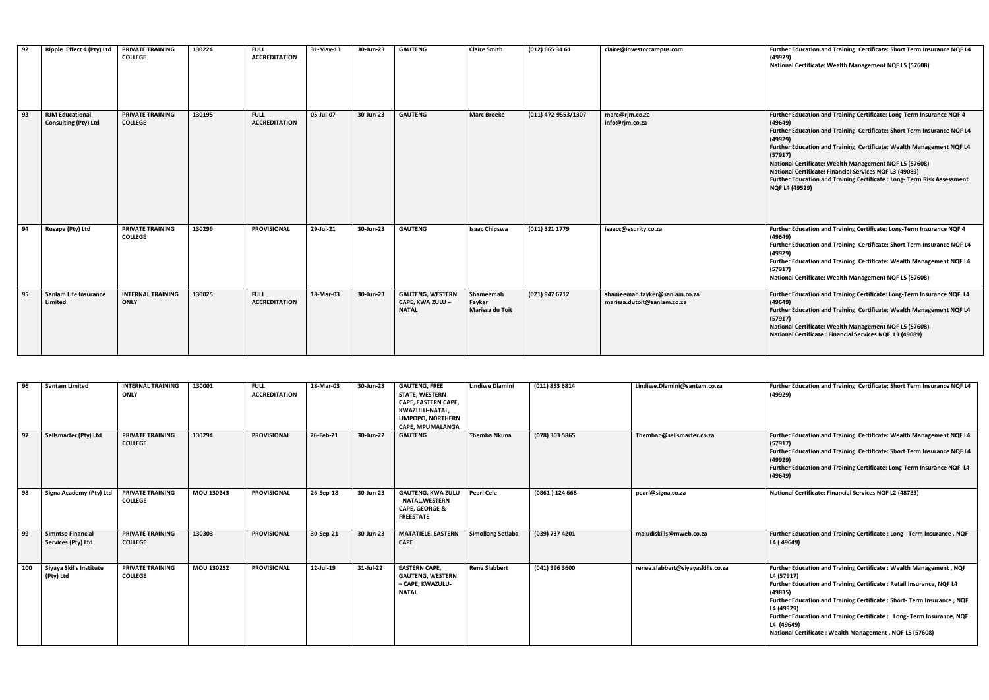| 92 | Ripple Effect 4 (Pty) Ltd                             | PRIVATE TRAINING<br><b>COLLEGE</b>        | 130224 | <b>FULL</b><br><b>ACCREDITATION</b> | 31-May-13 | 30-Jun-23 | <b>GAUTENG</b>                                              | <b>Claire Smith</b>                    | (012) 665 34 61     | claire@investorcampus.com                                    | Further Education and Training Certificate: Short Term Insurance NQF L4<br>(49929)<br>National Certificate: Wealth Management NQF L5 (57608)                                                                                                                                                                                                                                                                                                                              |
|----|-------------------------------------------------------|-------------------------------------------|--------|-------------------------------------|-----------|-----------|-------------------------------------------------------------|----------------------------------------|---------------------|--------------------------------------------------------------|---------------------------------------------------------------------------------------------------------------------------------------------------------------------------------------------------------------------------------------------------------------------------------------------------------------------------------------------------------------------------------------------------------------------------------------------------------------------------|
| 93 | <b>RJM Educational</b><br><b>Consulting (Pty) Ltd</b> | <b>PRIVATE TRAINING</b><br><b>COLLEGE</b> | 130195 | <b>FULL</b><br><b>ACCREDITATION</b> | 05-Jul-07 | 30-Jun-23 | <b>GAUTENG</b>                                              | <b>Marc Broeke</b>                     | (011) 472-9553/1307 | marc@rjm.co.za<br>info@rjm.co.za                             | Further Education and Training Certificate: Long-Term Insurance NQF 4<br>(49649)<br>Further Education and Training Certificate: Short Term Insurance NQF L4<br>(49929)<br>Further Education and Training Certificate: Wealth Management NQF L4<br>(57917)<br>National Certificate: Wealth Management NQF L5 (57608)<br>National Certificate: Financial Services NQF L3 (49089)<br>Further Education and Training Certificate: Long-Term Risk Assessment<br>NQF L4 (49529) |
| 94 | Rusape (Pty) Ltd                                      | <b>PRIVATE TRAINING</b><br><b>COLLEGE</b> | 130299 | <b>PROVISIONAL</b>                  | 29-Jul-21 | 30-Jun-23 | <b>GAUTENG</b>                                              | <b>Isaac Chipswa</b>                   | (011) 321 1779      | isaacc@esurity.co.za                                         | Further Education and Training Certificate: Long-Term Insurance NQF 4<br>(49649)<br>Further Education and Training Certificate: Short Term Insurance NQF L4<br>(49929)<br>Further Education and Training Certificate: Wealth Management NQF L4<br>(57917)<br>National Certificate: Wealth Management NQF L5 (57608)                                                                                                                                                       |
| 95 | Sanlam Life Insurance<br><b>Limited</b>               | <b>INTERNAL TRAINING</b><br><b>ONLY</b>   | 130025 | <b>FULL</b><br><b>ACCREDITATION</b> | 18-Mar-03 | 30-Jun-23 | <b>GAUTENG, WESTERN</b><br>CAPE, KWA ZULU -<br><b>NATAL</b> | Shameemah<br>Fayker<br>Marissa du Toit | (021) 947 6712      | shameemah.fayker@sanlam.co.za<br>marissa.dutoit@sanlam.co.za | Further Education and Training Certificate: Long-Term Insurance NQF L4<br>(49649)<br>Further Education and Training Certificate: Wealth Management NQF L4<br>(57917)<br>National Certificate: Wealth Management NQF L5 (57608)<br>National Certificate: Financial Services NQF L3 (49089)                                                                                                                                                                                 |

| 96  | <b>Santam Limited</b>                          | <b>INTERNAL TRAINING</b><br><b>ONLY</b>   | 130001     | <b>FULL</b><br><b>ACCREDITATION</b> | 18-Mar-03 | 30-Jun-23 | <b>GAUTENG, FREE</b><br><b>STATE, WESTERN</b><br><b>CAPE, EASTERN CAPE,</b><br>KWAZULU-NATAL,<br><b>LIMPOPO, NORTHERN</b><br><b>CAPE, MPUMALANGA</b> | <b>Lindiwe Dlamini</b>   | (011) 853 6814 | Lindiwe.Dlamini@santam.co.za      | Further Education and Training Certificate: Short Term Insurance NQF L4<br>(49929)                                                                                                                                                                                                                                                                                                                           |
|-----|------------------------------------------------|-------------------------------------------|------------|-------------------------------------|-----------|-----------|------------------------------------------------------------------------------------------------------------------------------------------------------|--------------------------|----------------|-----------------------------------|--------------------------------------------------------------------------------------------------------------------------------------------------------------------------------------------------------------------------------------------------------------------------------------------------------------------------------------------------------------------------------------------------------------|
| 97  | Sellsmarter (Pty) Ltd                          | PRIVATE TRAINING<br><b>COLLEGE</b>        | 130294     | <b>PROVISIONAL</b>                  | 26-Feb-21 | 30-Jun-22 | <b>GAUTENG</b>                                                                                                                                       | <b>Themba Nkuna</b>      | (078) 303 5865 | Themban@sellsmarter.co.za         | Further Education and Training Certificate: Wealth Management NQF L4<br>(57917)<br>Further Education and Training Certificate: Short Term Insurance NQF L4<br>(49929)<br>Further Education and Training Certificate: Long-Term Insurance NQF L4<br>(49649)                                                                                                                                                   |
| 98  | Signa Academy (Pty) Ltd                        | PRIVATE TRAINING<br><b>COLLEGE</b>        | MOU 130243 | <b>PROVISIONAL</b>                  | 26-Sep-18 | 30-Jun-23 | <b>GAUTENG, KWA ZULU</b><br>- NATAL, WESTERN<br><b>CAPE, GEORGE &amp;</b><br><b>FREESTATE</b>                                                        | <b>Pearl Cele</b>        | (0861) 124668  | pearl@signa.co.za                 | National Certificate: Financial Services NQF L2 (48783)                                                                                                                                                                                                                                                                                                                                                      |
| 99  | <b>Simntso Financial</b><br>Services (Pty) Ltd | <b>PRIVATE TRAINING</b><br><b>COLLEGE</b> | 130303     | <b>PROVISIONAL</b>                  | 30-Sep-21 | 30-Jun-23 | <b>MATATIELE, EASTERN</b><br><b>CAPE</b>                                                                                                             | <b>Simollang Setlaba</b> | (039) 737 4201 | maludiskills@mweb.co.za           | Further Education and Training Certificate : Long - Term Insurance, NQF<br>L4 (49649)                                                                                                                                                                                                                                                                                                                        |
| 100 | Siyaya Skills Institute<br>(Pty) Ltd           | PRIVATE TRAINING<br><b>COLLEGE</b>        | MOU 130252 | <b>PROVISIONAL</b>                  | 12-Jul-19 | 31-Jul-22 | <b>EASTERN CAPE,</b><br><b>GAUTENG, WESTERN</b><br>- CAPE, KWAZULU-<br><b>NATAL</b>                                                                  | <b>Rene Slabbert</b>     | (041) 396 3600 | renee.slabbert@siyayaskills.co.za | Further Education and Training Certificate: Wealth Management, NQF<br>L4 (57917)<br>Further Education and Training Certificate: Retail Insurance, NQF L4<br>(49835)<br>Further Education and Training Certificate : Short-Term Insurance, NQF<br>L4 (49929)<br>Further Education and Training Certificate: Long-Term Insurance, NQF<br>L4 (49649)<br>National Certificate: Wealth Management, NQF L5 (57608) |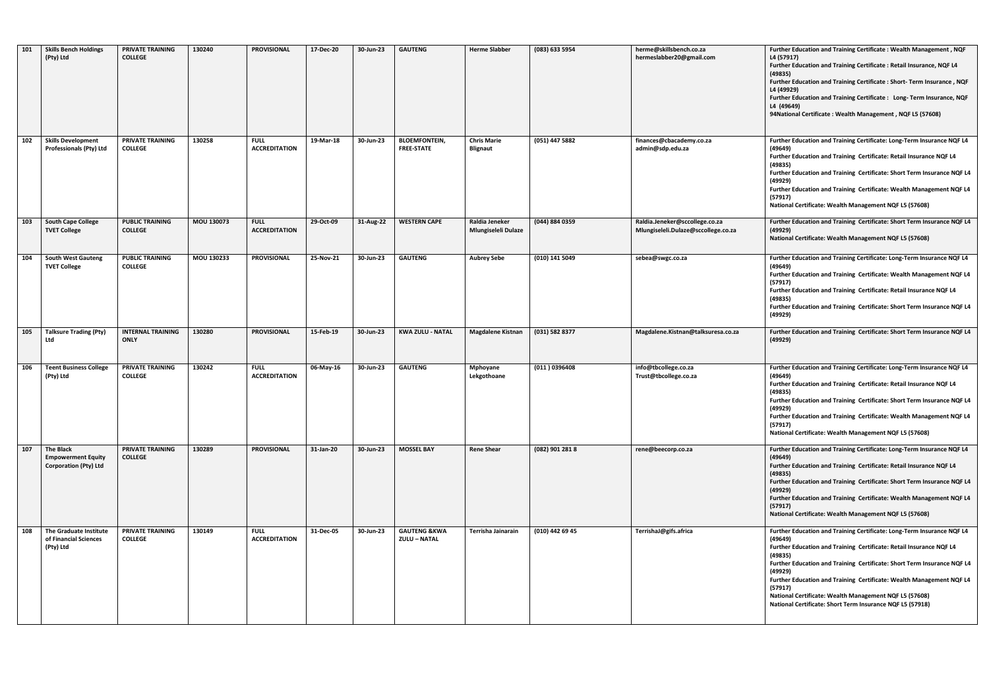| 101 | <b>Skills Bench Holdings</b><br>(Pty) Ltd                                     | <b>PRIVATE TRAINING</b><br><b>COLLEGE</b> | 130240     | <b>PROVISIONAL</b>                  | 17-Dec-20 | 30-Jun-23 | <b>GAUTENG</b>                                 | <b>Herme Slabber</b>                  | (083) 633 5954  | herme@skillsbench.co.za<br>hermeslabber20@gmail.com                   | Further Education and Training Certificate: Wealth Management, NQF<br>L4 (57917)<br>Further Education and Training Certificate : Retail Insurance, NQF L4<br>(49835)<br>Further Education and Training Certificate : Short- Term Insurance, NQF<br>L4 (49929)<br>Further Education and Training Certificate : Long- Term Insurance, NQF<br>L4 (49649)<br>94National Certificate: Wealth Management, NQF L5 (57608)                                                  |
|-----|-------------------------------------------------------------------------------|-------------------------------------------|------------|-------------------------------------|-----------|-----------|------------------------------------------------|---------------------------------------|-----------------|-----------------------------------------------------------------------|---------------------------------------------------------------------------------------------------------------------------------------------------------------------------------------------------------------------------------------------------------------------------------------------------------------------------------------------------------------------------------------------------------------------------------------------------------------------|
| 102 | <b>Skills Development</b><br>Professionals (Pty) Ltd                          | PRIVATE TRAINING<br><b>COLLEGE</b>        | 130258     | <b>FULL</b><br><b>ACCREDITATION</b> | 19-Mar-18 | 30-Jun-23 | <b>BLOEMFONTEIN,</b><br><b>FREE-STATE</b>      | <b>Chris Marie</b><br><b>Blignaut</b> | (051) 447 5882  | finances@cbacademy.co.za<br>admin@sdp.edu.za                          | Further Education and Training Certificate: Long-Term Insurance NQF L4<br>(49649)<br>Further Education and Training Certificate: Retail Insurance NQF L4<br>(49835)<br>Further Education and Training Certificate: Short Term Insurance NQF L4<br>(49929)<br>Further Education and Training Certificate: Wealth Management NQF L4<br>(57917)<br>National Certificate: Wealth Management NQF L5 (57608)                                                              |
| 103 | <b>South Cape College</b><br><b>TVET College</b>                              | <b>PUBLIC TRAINING</b><br><b>COLLEGE</b>  | MOU 130073 | <b>FULL</b><br><b>ACCREDITATION</b> | 29-Oct-09 | 31-Aug-22 | <b>WESTERN CAPE</b>                            | Raldia Jeneker<br>Mlungiseleli Dulaze | (044) 884 0359  | Raldia.Jeneker@sccollege.co.za<br>Mlungiseleli.Dulaze@sccollege.co.za | Further Education and Training Certificate: Short Term Insurance NQF L4<br>(49929)<br>National Certificate: Wealth Management NQF L5 (57608)                                                                                                                                                                                                                                                                                                                        |
| 104 | <b>South West Gauteng</b><br><b>TVET College</b>                              | <b>PUBLIC TRAINING</b><br><b>COLLEGE</b>  | MOU 130233 | <b>PROVISIONAL</b>                  | 25-Nov-21 | 30-Jun-23 | <b>GAUTENG</b>                                 | <b>Aubrey Sebe</b>                    | (010) 141 5049  | sebea@swgc.co.za                                                      | Further Education and Training Certificate: Long-Term Insurance NQF L4<br>(49649)<br>Further Education and Training Certificate: Wealth Management NQF L4<br>(57917)<br>Further Education and Training Certificate: Retail Insurance NQF L4<br>(49835)<br>Further Education and Training Certificate: Short Term Insurance NQF L4<br>(49929)                                                                                                                        |
| 105 | Talksure Trading (Pty)<br>Ltd                                                 | <b>INTERNAL TRAINING</b><br><b>ONLY</b>   | 130280     | <b>PROVISIONAL</b>                  | 15-Feb-19 | 30-Jun-23 | <b>KWA ZULU - NATAL</b>                        | <b>Magdalene Kistnan</b>              | (031) 582 8377  | Magdalene.Kistnan@talksuresa.co.za                                    | Further Education and Training Certificate: Short Term Insurance NQF L4<br>(49929)                                                                                                                                                                                                                                                                                                                                                                                  |
| 106 | <b>Teent Business College</b><br>(Pty) Ltd                                    | PRIVATE TRAINING<br><b>COLLEGE</b>        | 130242     | <b>FULL</b><br><b>ACCREDITATION</b> | 06-May-16 | 30-Jun-23 | <b>GAUTENG</b>                                 | Mphoyane<br>Lekgothoane               | (011) 0396408   | info@tbcollege.co.za<br>Trust@tbcollege.co.za                         | Further Education and Training Certificate: Long-Term Insurance NQF L4<br>(49649)<br>Further Education and Training Certificate: Retail Insurance NQF L4<br>(49835)<br>Further Education and Training Certificate: Short Term Insurance NQF L4<br>(49929)<br>Further Education and Training Certificate: Wealth Management NQF L4<br>(57917)<br>National Certificate: Wealth Management NQF L5 (57608)                                                              |
| 107 | <b>The Black</b><br><b>Empowerment Equity</b><br><b>Corporation (Pty) Ltd</b> | PRIVATE TRAINING<br><b>COLLEGE</b>        | 130289     | <b>PROVISIONAL</b>                  | 31-Jan-20 | 30-Jun-23 | <b>MOSSEL BAY</b>                              | <b>Rene Shear</b>                     | (082) 901 281 8 | rene@beecorp.co.za                                                    | Further Education and Training Certificate: Long-Term Insurance NQF L4<br>(49649)<br>Further Education and Training Certificate: Retail Insurance NQF L4<br>(49835)<br>Further Education and Training Certificate: Short Term Insurance NQF L4<br>(49929)<br>Further Education and Training Certificate: Wealth Management NQF L4<br>(57917)<br>National Certificate: Wealth Management NQF L5 (57608)                                                              |
| 108 | The Graduate Institute<br>of Financial Sciences<br>(Pty) Ltd                  | PRIVATE TRAINING<br><b>COLLEGE</b>        | 130149     | <b>FULL</b><br><b>ACCREDITATION</b> | 31-Dec-05 | 30-Jun-23 | <b>GAUTENG &amp;KWA</b><br><b>ZULU - NATAL</b> | Terrisha Jainarain                    | (010) 442 69 45 | TerrishaJ@gifs.africa                                                 | Further Education and Training Certificate: Long-Term Insurance NQF L4<br>(49649)<br>Further Education and Training Certificate: Retail Insurance NQF L4<br>(49835)<br>Further Education and Training Certificate: Short Term Insurance NQF L4<br>(49929)<br>Further Education and Training Certificate: Wealth Management NQF L4<br>(57917)<br>National Certificate: Wealth Management NQF L5 (57608)<br>National Certificate: Short Term Insurance NQF L5 (57918) |

| Further Education and Training Certificate: Wealth Management, NQF<br>L4 (57917)<br>Further Education and Training Certificate: Retail Insurance, NQF L4  |
|-----------------------------------------------------------------------------------------------------------------------------------------------------------|
| (49835)<br>Further Education and Training Certificate: Short- Term Insurance, NQF                                                                         |
| L4 (49929)<br>Further Education and Training Certificate: Long-Term Insurance, NQF                                                                        |
| L4 (49649)<br>94 National Certificate: Wealth Management, NQF L5 (57608)                                                                                  |
|                                                                                                                                                           |
| Further Education and Training Certificate: Long-Term Insurance NQF L4<br>(49649)                                                                         |
| Further Education and Training Certificate: Retail Insurance NQF L4<br>(49835)                                                                            |
| Further Education and Training Certificate: Short Term Insurance NQF L4<br>(49929)                                                                        |
| Further Education and Training Certificate: Wealth Management NQF L4<br>(57917)                                                                           |
| National Certificate: Wealth Management NQF L5 (57608)                                                                                                    |
| Further Education and Training Certificate: Short Term Insurance NQF L4<br>(49929)                                                                        |
| National Certificate: Wealth Management NQF L5 (57608)                                                                                                    |
| Further Education and Training Certificate: Long-Term Insurance NQF L4<br>(49649)                                                                         |
| Further Education and Training Certificate: Wealth Management NQF L4<br>(57917)                                                                           |
| Further Education and Training Certificate: Retail Insurance NQF L4<br>(49835)                                                                            |
| Further Education and Training Certificate: Short Term Insurance NQF L4<br>(49929)                                                                        |
| Further Education and Training Certificate: Short Term Insurance NQF L4<br>(49929)                                                                        |
| Further Education and Training Certificate: Long-Term Insurance NQF L4                                                                                    |
| (49649)<br>Further Education and Training Certificate: Retail Insurance NQF L4                                                                            |
| (49835)<br>Further Education and Training Certificate: Short Term Insurance NQF L4                                                                        |
| (49929)<br>Further Education and Training Certificate: Wealth Management NQF L4                                                                           |
| (57917)<br>National Certificate: Wealth Management NQF L5 (57608)                                                                                         |
| Further Education and Training Certificate: Long-Term Insurance NQF L4<br>(49649)                                                                         |
| Further Education and Training Certificate: Retail Insurance NQF L4<br>(49835)                                                                            |
| Further Education and Training Certificate: Short Term Insurance NQF L4<br>(49929)                                                                        |
| Further Education and Training Certificate: Wealth Management NQF L4<br>(57917)                                                                           |
| National Certificate: Wealth Management NQF L5 (57608)                                                                                                    |
| Further Education and Training Certificate: Long-Term Insurance NQF L4<br>(49649)                                                                         |
| Further Education and Training Certificate: Retail Insurance NQF L4<br>(49835)<br>Further Education and Training Certificate: Short Term Insurance NQF L4 |
| (49929)<br>Further Education and Training Certificate: Wealth Management NQF L4                                                                           |
| (57917)<br>National Certificate: Wealth Management NQF L5 (57608)                                                                                         |
| National Certificate: Short Term Insurance NQF L5 (57918)                                                                                                 |
|                                                                                                                                                           |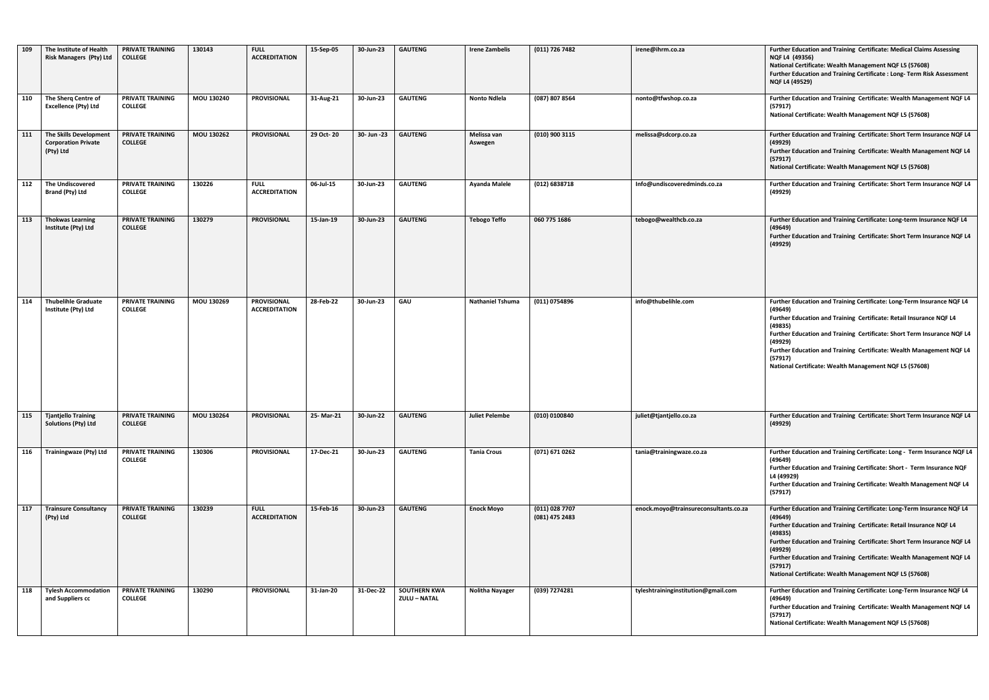| 109 | The Institute of Health<br><b>Risk Managers (Pty) Ltd</b>         | PRIVATE TRAINING<br><b>COLLEGE</b>        | 130143     | <b>FULL</b><br><b>ACCREDITATION</b>        | 15-Sep-05    | 30-Jun-23    | <b>GAUTENG</b>                      | <b>Irene Zambelis</b>   | (011) 726 7482                   | irene@ihrm.co.za                      | Further Education and Training Certificate: Medical Claims Assessing<br>NQF L4 (49356)<br>National Certificate: Wealth Management NQF L5 (57608)<br>Further Education and Training Certificate : Long- Term Risk Assessment<br><b>NQF L4 (49529)</b>                                                                                                                                                   |
|-----|-------------------------------------------------------------------|-------------------------------------------|------------|--------------------------------------------|--------------|--------------|-------------------------------------|-------------------------|----------------------------------|---------------------------------------|--------------------------------------------------------------------------------------------------------------------------------------------------------------------------------------------------------------------------------------------------------------------------------------------------------------------------------------------------------------------------------------------------------|
| 110 | The Sherq Centre of<br><b>Excellence (Pty) Ltd</b>                | <b>PRIVATE TRAINING</b><br><b>COLLEGE</b> | MOU 130240 | <b>PROVISIONAL</b>                         | 31-Aug-21    | 30-Jun-23    | <b>GAUTENG</b>                      | <b>Nonto Ndlela</b>     | (087) 807 8564                   | nonto@tfwshop.co.za                   | Further Education and Training Certificate: Wealth Management NQF L4<br>(57917)<br>National Certificate: Wealth Management NQF L5 (57608)                                                                                                                                                                                                                                                              |
| 111 | The Skills Development<br><b>Corporation Private</b><br>(Pty) Ltd | <b>PRIVATE TRAINING</b><br><b>COLLEGE</b> | MOU 130262 | <b>PROVISIONAL</b>                         | 29 Oct-20    | 30- Jun - 23 | <b>GAUTENG</b>                      | Melissa van<br>Aswegen  | (010) 900 3115                   | melissa@sdcorp.co.za                  | Further Education and Training Certificate: Short Term Insurance NQF L4<br>(49929)<br>Further Education and Training Certificate: Wealth Management NQF L4<br>(57917)<br>National Certificate: Wealth Management NQF L5 (57608)                                                                                                                                                                        |
| 112 | <b>The Undiscovered</b><br><b>Brand (Pty) Ltd</b>                 | PRIVATE TRAINING<br><b>COLLEGE</b>        | 130226     | <b>FULL</b><br><b>ACCREDITATION</b>        | 06-Jul-15    | 30-Jun-23    | <b>GAUTENG</b>                      | <b>Ayanda Malele</b>    | (012) 6838718                    | Info@undiscoveredminds.co.za          | Further Education and Training Certificate: Short Term Insurance NQF L4<br>(49929)                                                                                                                                                                                                                                                                                                                     |
| 113 | <b>Thokwas Learning</b><br>Institute (Pty) Ltd                    | PRIVATE TRAINING<br><b>COLLEGE</b>        | 130279     | <b>PROVISIONAL</b>                         | 15-Jan-19    | 30-Jun-23    | <b>GAUTENG</b>                      | <b>Tebogo Teffo</b>     | 060 775 1686                     | tebogo@wealthcb.co.za                 | Further Education and Training Certificate: Long-term Insurance NQF L4<br>(49649)<br>Further Education and Training Certificate: Short Term Insurance NQF L4<br>(49929)                                                                                                                                                                                                                                |
| 114 | <b>Thubelihle Graduate</b><br>Institute (Pty) Ltd                 | <b>PRIVATE TRAINING</b><br><b>COLLEGE</b> | MOU 130269 | <b>PROVISIONAL</b><br><b>ACCREDITATION</b> | $28$ -Feb-22 | 30-Jun-23    | <b>GAU</b>                          | <b>Nathaniel Tshuma</b> | (011) 0754896                    | info@thubelihle.com                   | Further Education and Training Certificate: Long-Term Insurance NQF L4<br>(49649)<br>Further Education and Training Certificate: Retail Insurance NQF L4<br>(49835)<br>Further Education and Training Certificate: Short Term Insurance NQF L4<br>(49929)<br>Further Education and Training Certificate: Wealth Management NQF L4<br>(57917)<br>National Certificate: Wealth Management NQF L5 (57608) |
|     | 115   Tjantjello Training<br><b>Solutions (Pty) Ltd</b>           | <b>PRIVATE TRAINING</b><br><b>COLLEGE</b> | MOU 130264 | <b>PROVISIONAL</b>                         | 25-Mar-21    | 30-Jun-22    | <b>GAUTENG</b>                      | <b>Juliet Pelembe</b>   | (010) 0100840                    | juliet@tjantjello.co.za               | Further Education and Training Certificate: Short Term Insurance NQF L4<br>(49929)                                                                                                                                                                                                                                                                                                                     |
| 116 | Trainingwaze (Pty) Ltd                                            | PRIVATE TRAINING<br><b>COLLEGE</b>        | 130306     | <b>PROVISIONAL</b>                         | 17-Dec-21    | 30-Jun-23    | <b>GAUTENG</b>                      | <b>Tania Crous</b>      | (071) 671 0262                   | tania@trainingwaze.co.za              | Further Education and Training Certificate: Long - Term Insurance NQF L4<br>(49649)<br>Further Education and Training Certificate: Short - Term Insurance NQF<br>L4 (49929)<br>Further Education and Training Certificate: Wealth Management NQF L4<br>(57917)                                                                                                                                         |
| 117 | <b>Trainsure Consultancy</b><br>(Pty) Ltd                         | PRIVATE TRAINING<br><b>COLLEGE</b>        | 130239     | <b>FULL</b><br><b>ACCREDITATION</b>        | 15-Feb-16    | 30-Jun-23    | <b>GAUTENG</b>                      | <b>Enock Moyo</b>       | (011) 028 7707<br>(081) 475 2483 | enock.moyo@trainsureconsultants.co.za | Further Education and Training Certificate: Long-Term Insurance NQF L4<br>(49649)<br>Further Education and Training Certificate: Retail Insurance NQF L4<br>(49835)<br>Further Education and Training Certificate: Short Term Insurance NQF L4<br>(49929)<br>Further Education and Training Certificate: Wealth Management NQF L4<br>(57917)<br>National Certificate: Wealth Management NQF L5 (57608) |
| 118 | <b>Tylesh Accommodation</b><br>and Suppliers cc                   | PRIVATE TRAINING<br><b>COLLEGE</b>        | 130290     | <b>PROVISIONAL</b>                         | 31-Jan-20    | 31-Dec-22    | <b>SOUTHERN KWA</b><br>ZULU - NATAL | <b>Nolitha Nayager</b>  | (039) 7274281                    | tyleshtraininginstitution@gmail.com   | Further Education and Training Certificate: Long-Term Insurance NQF L4<br>(49649)<br>Further Education and Training Certificate: Wealth Management NQF L4<br>(57917)<br>National Certificate: Wealth Management NQF L5 (57608)                                                                                                                                                                         |

| (011) 726 7482                   | irene@ihrm.co.za                      | <b>Further Education and Training Certificate: Medical Claims Assessing</b><br>NQF L4 (49356)<br>National Certificate: Wealth Management NQF L5 (57608)<br>Further Education and Training Certificate : Long- Term Risk Assessment<br>NQF L4 (49529)                                                                                                                                                   |
|----------------------------------|---------------------------------------|--------------------------------------------------------------------------------------------------------------------------------------------------------------------------------------------------------------------------------------------------------------------------------------------------------------------------------------------------------------------------------------------------------|
| (087) 807 8564                   | nonto@tfwshop.co.za                   | Further Education and Training Certificate: Wealth Management NQF L4<br>(57917)<br>National Certificate: Wealth Management NQF L5 (57608)                                                                                                                                                                                                                                                              |
| (010) 900 3115                   | melissa@sdcorp.co.za                  | Further Education and Training Certificate: Short Term Insurance NQF L4<br>(49929)<br>Further Education and Training Certificate: Wealth Management NQF L4<br>(57917)<br>National Certificate: Wealth Management NQF L5 (57608)                                                                                                                                                                        |
| (012) 6838718                    | Info@undiscoveredminds.co.za          | Further Education and Training Certificate: Short Term Insurance NQF L4<br>(49929)                                                                                                                                                                                                                                                                                                                     |
| 060 775 1686                     | tebogo@wealthcb.co.za                 | Further Education and Training Certificate: Long-term Insurance NQF L4<br>(49649)<br>Further Education and Training Certificate: Short Term Insurance NQF L4<br>(49929)                                                                                                                                                                                                                                |
| (011) 0754896                    | info@thubelihle.com                   | Further Education and Training Certificate: Long-Term Insurance NQF L4<br>(49649)<br>Further Education and Training Certificate: Retail Insurance NQF L4<br>(49835)<br>Further Education and Training Certificate: Short Term Insurance NQF L4<br>(49929)<br>Further Education and Training Certificate: Wealth Management NQF L4<br>(57917)<br>National Certificate: Wealth Management NQF L5 (57608) |
| (010) 0100840                    | juliet@tjantjello.co.za               | Further Education and Training Certificate: Short Term Insurance NQF L4<br>(49929)                                                                                                                                                                                                                                                                                                                     |
| (071) 671 0262                   | tania@trainingwaze.co.za              | Further Education and Training Certificate: Long - Term Insurance NQF L4<br>(49649)<br>Further Education and Training Certificate: Short - Term Insurance NQF<br>L4 (49929)<br>Further Education and Training Certificate: Wealth Management NQF L4<br>(57917)                                                                                                                                         |
| (011) 028 7707<br>(081) 475 2483 | enock.moyo@trainsureconsultants.co.za | Further Education and Training Certificate: Long-Term Insurance NQF L4<br>(49649)<br>Further Education and Training Certificate: Retail Insurance NQF L4<br>(49835)<br>Further Education and Training Certificate: Short Term Insurance NQF L4<br>(49929)<br>Further Education and Training Certificate: Wealth Management NQF L4<br>(57917)<br>National Certificate: Wealth Management NQF L5 (57608) |
| (039) 7274281                    | tyleshtraininginstitution@gmail.com   | Further Education and Training Certificate: Long-Term Insurance NQF L4<br>(49649)<br>Further Education and Training Certificate: Wealth Management NQF L4<br>(57917)<br>National Certificate: Wealth Management NQF L5 (57608)                                                                                                                                                                         |